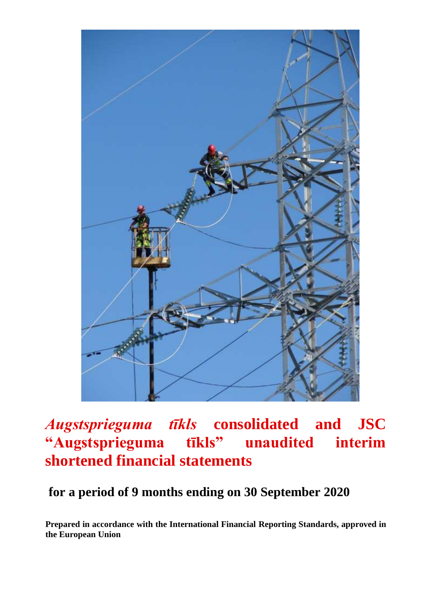

# *Augstsprieguma tīkls* **consolidated and JSC "Augstsprieguma tīkls" unaudited interim shortened financial statements**

## **for a period of 9 months ending on 30 September 2020**

**Prepared in accordance with the International Financial Reporting Standards, approved in the European Union**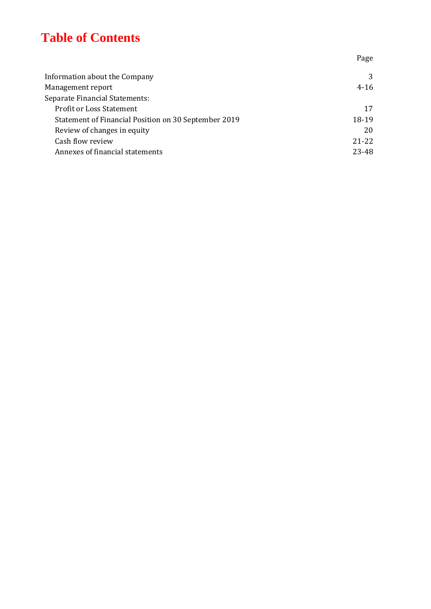# **Table of Contents**

Information about the Company 3 Management report 4-16 Separate Financial Statements: Profit or Loss Statement 17 Statement of Financial Position on 30 September 2019 18-19 Review of changes in equity 20 Cash flow review 21-22 Annexes of financial statements 23-48

Page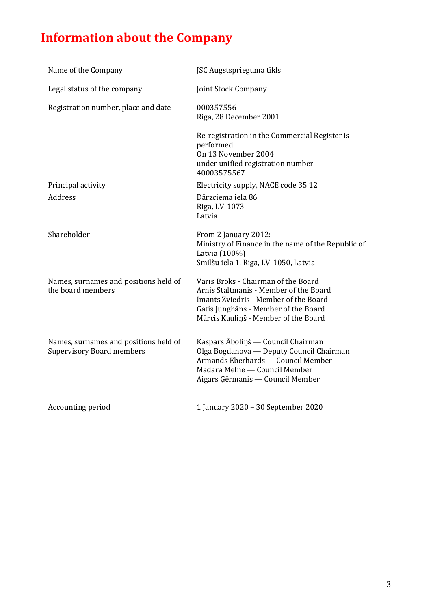# **Information about the Company**

| Name of the Company                                                       | JSC Augstsprieguma tīkls                                                                                                                                                                               |
|---------------------------------------------------------------------------|--------------------------------------------------------------------------------------------------------------------------------------------------------------------------------------------------------|
| Legal status of the company                                               | Joint Stock Company                                                                                                                                                                                    |
| Registration number, place and date                                       | 000357556<br>Riga, 28 December 2001                                                                                                                                                                    |
|                                                                           | Re-registration in the Commercial Register is<br>performed<br>On 13 November 2004<br>under unified registration number<br>40003575567                                                                  |
| Principal activity                                                        | Electricity supply, NACE code 35.12                                                                                                                                                                    |
| <b>Address</b>                                                            | Dārzciema iela 86<br>Riga, LV-1073<br>Latvia                                                                                                                                                           |
| Shareholder                                                               | From 2 January 2012:<br>Ministry of Finance in the name of the Republic of<br>Latvia (100%)<br>Smilšu iela 1, Riga, LV-1050, Latvia                                                                    |
| Names, surnames and positions held of<br>the board members                | Varis Broks - Chairman of the Board<br>Arnis Staltmanis - Member of the Board<br>Imants Zviedris - Member of the Board<br>Gatis Junghāns - Member of the Board<br>Mārcis Kauliņš - Member of the Board |
| Names, surnames and positions held of<br><b>Supervisory Board members</b> | Kaspars Āboliņš — Council Chairman<br>Olga Bogdanova — Deputy Council Chairman<br>Armands Eberhards - Council Member<br>Madara Melne - Council Member<br>Aigars Gērmanis — Council Member              |
| Accounting period                                                         | 1 January 2020 - 30 September 2020                                                                                                                                                                     |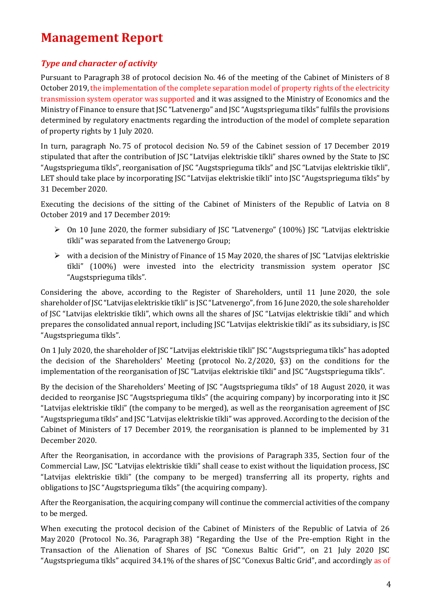# **Management Report**

## *Type and character of activity*

Pursuant to Paragraph 38 of protocol decision No. 46 of the meeting of the Cabinet of Ministers of 8 October 2019, the implementation of the complete separation model of property rights of the electricity transmission system operator was supported and it was assigned to the Ministry of Economics and the Ministry of Finance to ensure that JSC "Latvenergo" and JSC "Augstsprieguma tīkls" fulfils the provisions determined by regulatory enactments regarding the introduction of the model of complete separation of property rights by 1 July 2020.

In turn, paragraph No. 75 of protocol decision No. 59 of the Cabinet session of 17 December 2019 stipulated that after the contribution of JSC "Latvijas elektriskie tīkli" shares owned by the State to JSC "Augstsprieguma tīkls", reorganisation of JSC "Augstsprieguma tīkls" and JSC "Latvijas elektriskie tīkli", LET should take place by incorporating JSC "Latvijas elektriskie tīkli" into JSC "Augstsprieguma tīkls" by 31 December 2020.

Executing the decisions of the sitting of the Cabinet of Ministers of the Republic of Latvia on 8 October 2019 and 17 December 2019:

- ➢ On 10 June 2020, the former subsidiary of JSC "Latvenergo" (100%) JSC "Latvijas elektriskie tīkli" was separated from the Latvenergo Group;
- $\triangleright$  with a decision of the Ministry of Finance of 15 May 2020, the shares of JSC "Latvijas elektriskie" tīkli" (100%) were invested into the electricity transmission system operator JSC "Augstsprieguma tīkls".

Considering the above, according to the Register of Shareholders, until 11 June 2020, the sole shareholder of JSC "Latvijas elektriskie tīkli" is JSC "Latvenergo", from 16 June 2020, the sole shareholder of JSC "Latvijas elektriskie tīkli", which owns all the shares of JSC "Latvijas elektriskie tīkli" and which prepares the consolidated annual report, including JSC "Latvijas elektriskie tīkli" as its subsidiary, is JSC "Augstsprieguma tīkls".

On 1 July 2020, the shareholder of JSC "Latvijas elektriskie tīkli" JSC "Augstsprieguma tīkls" has adopted the decision of the Shareholders' Meeting (protocol No. 2/2020, §3) on the conditions for the implementation of the reorganisation of JSC "Latvijas elektriskie tīkli" and JSC "Augstsprieguma tīkls".

By the decision of the Shareholders' Meeting of JSC "Augstsprieguma tīkls" of 18 August 2020, it was decided to reorganise JSC "Augstsprieguma tīkls" (the acquiring company) by incorporating into it JSC "Latvijas elektriskie tīkli" (the company to be merged), as well as the reorganisation agreement of JSC "Augstsprieguma tīkls" and JSC "Latvijas elektriskie tīkli" was approved. According to the decision of the Cabinet of Ministers of 17 December 2019, the reorganisation is planned to be implemented by 31 December 2020.

After the Reorganisation, in accordance with the provisions of Paragraph 335, Section four of the Commercial Law, JSC "Latvijas elektriskie tīkli" shall cease to exist without the liquidation process, JSC "Latvijas elektriskie tīkli" (the company to be merged) transferring all its property, rights and obligations to JSC "Augstsprieguma tīkls" (the acquiring company).

After the Reorganisation, the acquiring company will continue the commercial activities of the company to be merged.

When executing the protocol decision of the Cabinet of Ministers of the Republic of Latvia of 26 May 2020 (Protocol No. 36, Paragraph 38) "Regarding the Use of the Pre-emption Right in the Transaction of the Alienation of Shares of JSC "Conexus Baltic Grid"", on 21 July 2020 JSC "Augstsprieguma tīkls" acquired 34.1% of the shares of JSC "Conexus Baltic Grid", and accordingly as of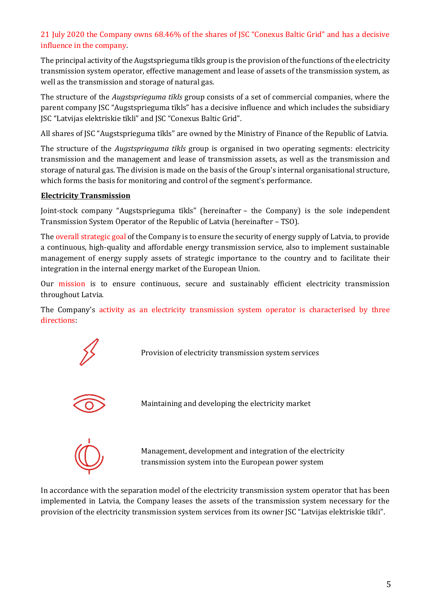## 21 July 2020 the Company owns 68.46% of the shares of JSC "Conexus Baltic Grid" and has a decisive influence in the company.

The principal activity of the Augstsprieguma tīkls group is the provision of the functions of the electricity transmission system operator, effective management and lease of assets of the transmission system, as well as the transmission and storage of natural gas.

The structure of the *Augstsprieguma tīkls* group consists of a set of commercial companies, where the parent company JSC "Augstsprieguma tīkls" has a decisive influence and which includes the subsidiary JSC "Latvijas elektriskie tīkli" and JSC "Conexus Baltic Grid".

All shares of JSC "Augstsprieguma tīkls" are owned by the Ministry of Finance of the Republic of Latvia.

The structure of the *Augstsprieguma tīkls* group is organised in two operating segments: electricity transmission and the management and lease of transmission assets, as well as the transmission and storage of natural gas. The division is made on the basis of the Group's internal organisational structure, which forms the basis for monitoring and control of the segment's performance.

## **Electricity Transmission**

Joint-stock company "Augstsprieguma tīkls" (hereinafter – the Company) is the sole independent Transmission System Operator of the Republic of Latvia (hereinafter – TSO).

The overall strategic goal of the Company is to ensure the security of energy supply of Latvia, to provide a continuous, high-quality and affordable energy transmission service, also to implement sustainable management of energy supply assets of strategic importance to the country and to facilitate their integration in the internal energy market of the European Union.

Our mission is to ensure continuous, secure and sustainably efficient electricity transmission throughout Latvia.

The Company's activity as an electricity transmission system operator is characterised by three directions:

Provision of electricity transmission system services



Maintaining and developing the electricity market

Management, development and integration of the electricity transmission system into the European power system

In accordance with the separation model of the electricity transmission system operator that has been implemented in Latvia, the Company leases the assets of the transmission system necessary for the provision of the electricity transmission system services from its owner JSC "Latvijas elektriskie tīkli".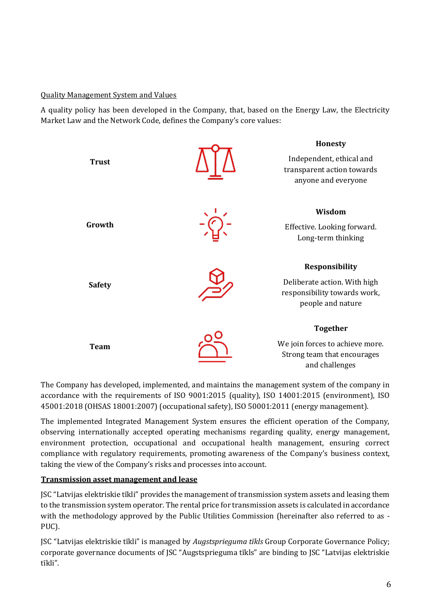#### Quality Management System and Values

A quality policy has been developed in the Company, that, based on the Energy Law, the Electricity Market Law and the Network Code, defines the Company's core values:



The Company has developed, implemented, and maintains the management system of the company in accordance with the requirements of ISO 9001:2015 (quality), ISO 14001:2015 (environment), ISO 45001:2018 (OHSAS 18001:2007) (occupational safety), ISO 50001:2011 (energy management).

The implemented Integrated Management System ensures the efficient operation of the Company, observing internationally accepted operating mechanisms regarding quality, energy management, environment protection, occupational and occupational health management, ensuring correct compliance with regulatory requirements, promoting awareness of the Company's business context, taking the view of the Company's risks and processes into account.

## **Transmission asset management and lease**

JSC "Latvijas elektriskie tīkli" provides the management of transmission system assets and leasing them to the transmission system operator. The rental price for transmission assets is calculated in accordance with the methodology approved by the Public Utilities Commission (hereinafter also referred to as - PUC).

JSC "Latvijas elektriskie tīkli" is managed by *Augstsprieguma tīkls* Group Corporate Governance Policy; corporate governance documents of JSC "Augstsprieguma tīkls" are binding to JSC "Latvijas elektriskie tīkli".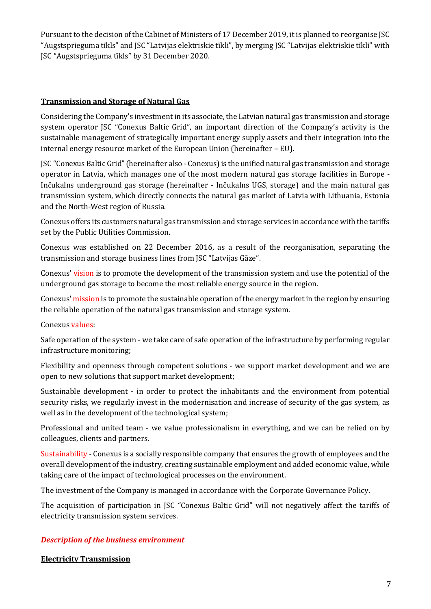Pursuant to the decision of the Cabinet of Ministers of 17 December 2019, it is planned to reorganise JSC "Augstsprieguma tīkls" and JSC "Latvijas elektriskie tīkli", by merging JSC "Latvijas elektriskie tīkli" with JSC "Augstsprieguma tīkls" by 31 December 2020.

#### **Transmission and Storage of Natural Gas**

Considering the Company's investment in its associate, the Latvian natural gas transmission and storage system operator JSC "Conexus Baltic Grid", an important direction of the Company's activity is the sustainable management of strategically important energy supply assets and their integration into the internal energy resource market of the European Union (hereinafter – EU).

JSC "Conexus Baltic Grid" (hereinafter also - Conexus) is the unified natural gas transmission and storage operator in Latvia, which manages one of the most modern natural gas storage facilities in Europe - Inčukalns underground gas storage (hereinafter - Inčukalns UGS, storage) and the main natural gas transmission system, which directly connects the natural gas market of Latvia with Lithuania, Estonia and the North-West region of Russia.

Conexus offers its customers natural gas transmission and storage services in accordance with the tariffs set by the Public Utilities Commission.

Conexus was established on 22 December 2016, as a result of the reorganisation, separating the transmission and storage business lines from JSC "Latvijas Gāze".

Conexus' vision is to promote the development of the transmission system and use the potential of the underground gas storage to become the most reliable energy source in the region.

Conexus' mission is to promote the sustainable operation of the energy market in the region by ensuring the reliable operation of the natural gas transmission and storage system.

#### Conexus values:

Safe operation of the system - we take care of safe operation of the infrastructure by performing regular infrastructure monitoring;

Flexibility and openness through competent solutions - we support market development and we are open to new solutions that support market development;

Sustainable development - in order to protect the inhabitants and the environment from potential security risks, we regularly invest in the modernisation and increase of security of the gas system, as well as in the development of the technological system;

Professional and united team - we value professionalism in everything, and we can be relied on by colleagues, clients and partners.

Sustainability - Conexus is a socially responsible company that ensures the growth of employees and the overall development of the industry, creating sustainable employment and added economic value, while taking care of the impact of technological processes on the environment.

The investment of the Company is managed in accordance with the Corporate Governance Policy.

The acquisition of participation in JSC "Conexus Baltic Grid" will not negatively affect the tariffs of electricity transmission system services.

## *Description of the business environment*

#### **Electricity Transmission**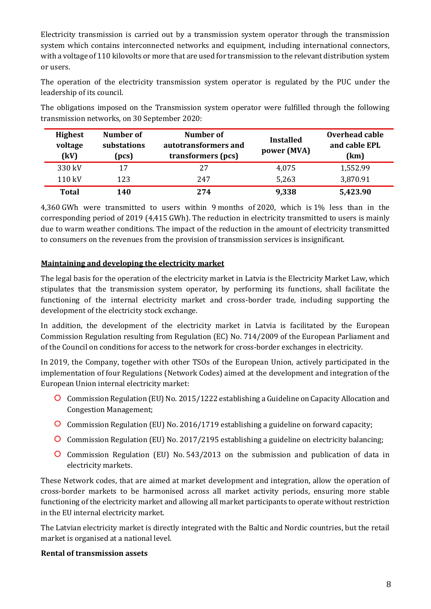Electricity transmission is carried out by a transmission system operator through the transmission system which contains interconnected networks and equipment, including international connectors, with a voltage of 110 kilovolts or more that are used for transmission to the relevant distribution system or users.

The operation of the electricity transmission system operator is regulated by the PUC under the leadership of its council.

The obligations imposed on the Transmission system operator were fulfilled through the following transmission networks, on 30 September 2020:

| <b>Highest</b><br>voltage<br>(kV) | Number of<br>substations<br>(pcs) | Number of<br>autotransformers and<br>transformers (pcs) | <b>Installed</b><br>power (MVA) | Overhead cable<br>and cable EPL<br>(km) |
|-----------------------------------|-----------------------------------|---------------------------------------------------------|---------------------------------|-----------------------------------------|
| 330 kV                            | 17                                | 27                                                      | 4,075                           | 1,552.99                                |
| 110 kV                            | 123                               | 247                                                     | 5,263                           | 3,870.91                                |
| <b>Total</b>                      | 140                               | 274                                                     | 9,338                           | 5,423.90                                |

4,360 GWh were transmitted to users within 9 months of 2020, which is 1% less than in the corresponding period of 2019 (4,415 GWh). The reduction in electricity transmitted to users is mainly due to warm weather conditions. The impact of the reduction in the amount of electricity transmitted to consumers on the revenues from the provision of transmission services is insignificant.

## **Maintaining and developing the electricity market**

The legal basis for the operation of the electricity market in Latvia is the Electricity Market Law, which stipulates that the transmission system operator, by performing its functions, shall facilitate the functioning of the internal electricity market and cross-border trade, including supporting the development of the electricity stock exchange.

In addition, the development of the electricity market in Latvia is facilitated by the European Commission Regulation resulting from Regulation (EC) No. 714/2009 of the European Parliament and of the Council on conditions for access to the network for cross-border exchanges in electricity.

In 2019, the Company, together with other TSOs of the European Union, actively participated in the implementation of four Regulations (Network Codes) aimed at the development and integration of the European Union internal electricity market:

- Commission Regulation (EU) No. 2015/1222 establishing a Guideline on Capacity Allocation and Congestion Management;
- Commission Regulation (EU) No. 2016/1719 establishing a guideline on forward capacity;
- Commission Regulation (EU) No. 2017/2195 establishing a guideline on electricity balancing;
- Commission Regulation (EU) No. 543/2013 on the submission and publication of data in electricity markets.

These Network codes, that are aimed at market development and integration, allow the operation of cross-border markets to be harmonised across all market activity periods, ensuring more stable functioning of the electricity market and allowing all market participants to operate without restriction in the EU internal electricity market.

The Latvian electricity market is directly integrated with the Baltic and Nordic countries, but the retail market is organised at a national level.

#### **Rental of transmission assets**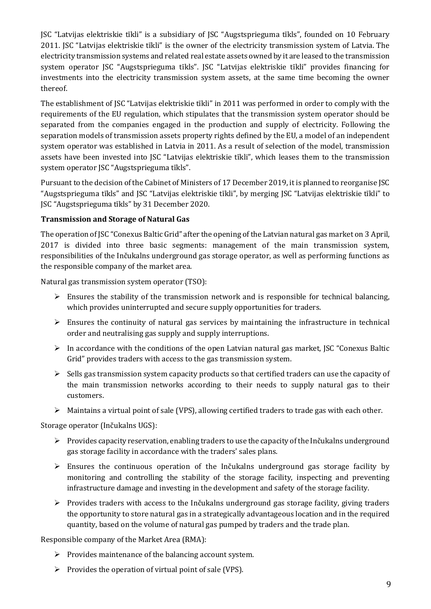JSC "Latvijas elektriskie tīkli" is a subsidiary of JSC "Augstsprieguma tīkls", founded on 10 February 2011. JSC "Latvijas elektriskie tīkli" is the owner of the electricity transmission system of Latvia. The electricity transmission systems and related real estate assets owned by it are leased to the transmission system operator JSC "Augstsprieguma tīkls". JSC "Latvijas elektriskie tīkli" provides financing for investments into the electricity transmission system assets, at the same time becoming the owner thereof.

The establishment of JSC "Latvijas elektriskie tīkli" in 2011 was performed in order to comply with the requirements of the EU regulation, which stipulates that the transmission system operator should be separated from the companies engaged in the production and supply of electricity. Following the separation models of transmission assets property rights defined by the EU, a model of an independent system operator was established in Latvia in 2011. As a result of selection of the model, transmission assets have been invested into JSC "Latvijas elektriskie tīkli", which leases them to the transmission system operator JSC "Augstsprieguma tīkls".

Pursuant to the decision of the Cabinet of Ministers of 17 December 2019, it is planned to reorganise JSC "Augstsprieguma tīkls" and JSC "Latvijas elektriskie tīkli", by merging JSC "Latvijas elektriskie tīkli" to JSC "Augstsprieguma tīkls" by 31 December 2020.

## **Transmission and Storage of Natural Gas**

The operation of JSC "Conexus Baltic Grid" after the opening of the Latvian natural gas market on 3 April, 2017 is divided into three basic segments: management of the main transmission system, responsibilities of the Inčukalns underground gas storage operator, as well as performing functions as the responsible company of the market area.

Natural gas transmission system operator (TSO):

- $\triangleright$  Ensures the stability of the transmission network and is responsible for technical balancing, which provides uninterrupted and secure supply opportunities for traders.
- $\triangleright$  Ensures the continuity of natural gas services by maintaining the infrastructure in technical order and neutralising gas supply and supply interruptions.
- $\triangleright$  In accordance with the conditions of the open Latvian natural gas market, JSC "Conexus Baltic" Grid" provides traders with access to the gas transmission system.
- $\triangleright$  Sells gas transmission system capacity products so that certified traders can use the capacity of the main transmission networks according to their needs to supply natural gas to their customers.
- $\triangleright$  Maintains a virtual point of sale (VPS), allowing certified traders to trade gas with each other.

Storage operator (Inčukalns UGS):

- ➢ Provides capacity reservation, enabling traders to use the capacity of the Inčukalns underground gas storage facility in accordance with the traders' sales plans.
- $\triangleright$  Ensures the continuous operation of the Inčukalns underground gas storage facility by monitoring and controlling the stability of the storage facility, inspecting and preventing infrastructure damage and investing in the development and safety of the storage facility.
- $\triangleright$  Provides traders with access to the Inčukalns underground gas storage facility, giving traders the opportunity to store natural gas in a strategically advantageous location and in the required quantity, based on the volume of natural gas pumped by traders and the trade plan.

Responsible company of the Market Area (RMA):

- ➢ Provides maintenance of the balancing account system.
- ➢ Provides the operation of virtual point of sale (VPS).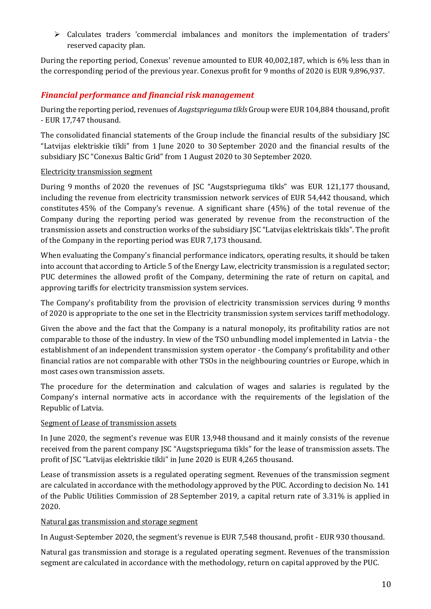➢ Calculates traders 'commercial imbalances and monitors the implementation of traders' reserved capacity plan.

During the reporting period, Conexus' revenue amounted to EUR 40,002,187, which is 6% less than in the corresponding period of the previous year. Conexus profit for 9 months of 2020 is EUR 9,896,937.

## *Financial performance and financial risk management*

During the reporting period, revenues of *Augstsprieguma tīkls* Group were EUR 104,884 thousand, profit - EUR 17,747 thousand.

The consolidated financial statements of the Group include the financial results of the subsidiary JSC "Latvijas elektriskie tīkli" from 1 June 2020 to 30 September 2020 and the financial results of the subsidiary JSC "Conexus Baltic Grid" from 1 August 2020 to 30 September 2020.

#### Electricity transmission segment

During 9 months of 2020 the revenues of JSC "Augstsprieguma tīkls" was EUR 121,177 thousand, including the revenue from electricity transmission network services of EUR 54,442 thousand, which constitutes 45% of the Company's revenue. A significant share (45%) of the total revenue of the Company during the reporting period was generated by revenue from the reconstruction of the transmission assets and construction works of the subsidiary JSC "Latvijas elektriskais tīkls". The profit of the Company in the reporting period was EUR 7,173 thousand.

When evaluating the Company's financial performance indicators, operating results, it should be taken into account that according to Article 5 of the Energy Law, electricity transmission is a regulated sector; PUC determines the allowed profit of the Company, determining the rate of return on capital, and approving tariffs for electricity transmission system services.

The Company's profitability from the provision of electricity transmission services during 9 months of 2020 is appropriate to the one set in the Electricity transmission system services tariff methodology.

Given the above and the fact that the Company is a natural monopoly, its profitability ratios are not comparable to those of the industry. In view of the TSO unbundling model implemented in Latvia - the establishment of an independent transmission system operator - the Company's profitability and other financial ratios are not comparable with other TSOs in the neighbouring countries or Europe, which in most cases own transmission assets.

The procedure for the determination and calculation of wages and salaries is regulated by the Company's internal normative acts in accordance with the requirements of the legislation of the Republic of Latvia.

## Segment of Lease of transmission assets

In June 2020, the segment's revenue was EUR 13,948 thousand and it mainly consists of the revenue received from the parent company JSC "Augstsprieguma tīkls" for the lease of transmission assets. The profit of JSC "Latvijas elektriskie tīkli" in June 2020 is EUR 4,265 thousand.

Lease of transmission assets is a regulated operating segment. Revenues of the transmission segment are calculated in accordance with the methodology approved by the PUC. According to decision No. 141 of the Public Utilities Commission of 28 September 2019, a capital return rate of 3.31% is applied in 2020.

#### Natural gas transmission and storage segment

In August-September 2020, the segment's revenue is EUR 7,548 thousand, profit - EUR 930 thousand.

Natural gas transmission and storage is a regulated operating segment. Revenues of the transmission segment are calculated in accordance with the methodology, return on capital approved by the PUC.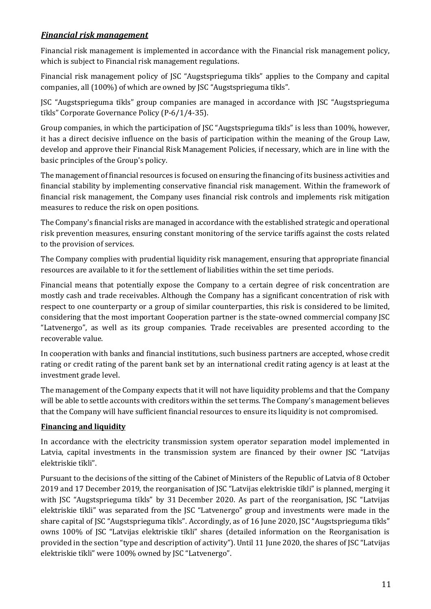## *Financial risk management*

Financial risk management is implemented in accordance with the Financial risk management policy, which is subject to Financial risk management regulations.

Financial risk management policy of JSC "Augstsprieguma tīkls" applies to the Company and capital companies, all (100%) of which are owned by JSC "Augstsprieguma tīkls".

JSC "Augstsprieguma tīkls" group companies are managed in accordance with JSC "Augstsprieguma tīkls" Corporate Governance Policy (P-6/1/4-35).

Group companies, in which the participation of JSC "Augstsprieguma tīkls" is less than 100%, however, it has a direct decisive influence on the basis of participation within the meaning of the Group Law, develop and approve their Financial Risk Management Policies, if necessary, which are in line with the basic principles of the Group's policy.

The management of financial resources is focused on ensuring the financing of its business activities and financial stability by implementing conservative financial risk management. Within the framework of financial risk management, the Company uses financial risk controls and implements risk mitigation measures to reduce the risk on open positions.

The Company's financial risks are managed in accordance with the established strategic and operational risk prevention measures, ensuring constant monitoring of the service tariffs against the costs related to the provision of services.

The Company complies with prudential liquidity risk management, ensuring that appropriate financial resources are available to it for the settlement of liabilities within the set time periods.

Financial means that potentially expose the Company to a certain degree of risk concentration are mostly cash and trade receivables. Although the Company has a significant concentration of risk with respect to one counterparty or a group of similar counterparties, this risk is considered to be limited, considering that the most important Cooperation partner is the state-owned commercial company JSC "Latvenergo", as well as its group companies. Trade receivables are presented according to the recoverable value.

In cooperation with banks and financial institutions, such business partners are accepted, whose credit rating or credit rating of the parent bank set by an international credit rating agency is at least at the investment grade level.

The management of the Company expects that it will not have liquidity problems and that the Company will be able to settle accounts with creditors within the set terms. The Company's management believes that the Company will have sufficient financial resources to ensure its liquidity is not compromised.

## **Financing and liquidity**

In accordance with the electricity transmission system operator separation model implemented in Latvia, capital investments in the transmission system are financed by their owner JSC "Latvijas elektriskie tīkli".

Pursuant to the decisions of the sitting of the Cabinet of Ministers of the Republic of Latvia of 8 October 2019 and 17 December 2019, the reorganisation of JSC "Latvijas elektriskie tīkli" is planned, merging it with JSC "Augstsprieguma tīkls" by 31 December 2020. As part of the reorganisation, JSC "Latvijas elektriskie tīkli" was separated from the JSC "Latvenergo" group and investments were made in the share capital of JSC "Augstsprieguma tīkls". Accordingly, as of 16 June 2020, JSC "Augstsprieguma tīkls" owns 100% of JSC "Latvijas elektriskie tīkli" shares (detailed information on the Reorganisation is provided in the section "type and description of activity"). Until 11 June 2020, the shares of JSC "Latvijas elektriskie tīkli" were 100% owned by JSC "Latvenergo".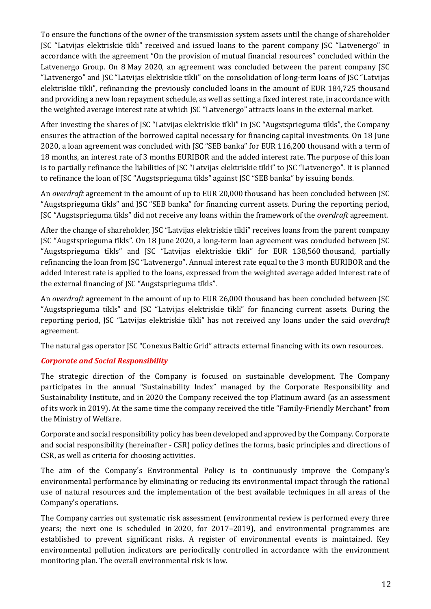To ensure the functions of the owner of the transmission system assets until the change of shareholder JSC "Latvijas elektriskie tīkli" received and issued loans to the parent company JSC "Latvenergo" in accordance with the agreement "On the provision of mutual financial resources" concluded within the Latvenergo Group. On 8 May 2020, an agreement was concluded between the parent company JSC "Latvenergo" and JSC "Latvijas elektriskie tīkli" on the consolidation of long-term loans of JSC "Latvijas elektriskie tīkli", refinancing the previously concluded loans in the amount of EUR 184,725 thousand and providing a new loan repayment schedule, as well as setting a fixed interest rate, in accordance with the weighted average interest rate at which JSC "Latvenergo" attracts loans in the external market.

After investing the shares of JSC "Latvijas elektriskie tīkli" in JSC "Augstsprieguma tīkls", the Company ensures the attraction of the borrowed capital necessary for financing capital investments. On 18 June 2020, a loan agreement was concluded with JSC "SEB banka" for EUR 116,200 thousand with a term of 18 months, an interest rate of 3 months EURIBOR and the added interest rate. The purpose of this loan is to partially refinance the liabilities of JSC "Latvijas elektriskie tīkli" to JSC "Latvenergo". It is planned to refinance the loan of JSC "Augstsprieguma tīkls" against JSC "SEB banka" by issuing bonds.

An *overdraft* agreement in the amount of up to EUR 20,000 thousand has been concluded between JSC "Augstsprieguma tīkls" and JSC "SEB banka" for financing current assets. During the reporting period, JSC "Augstsprieguma tīkls" did not receive any loans within the framework of the *overdraft* agreement.

After the change of shareholder, JSC "Latvijas elektriskie tīkli" receives loans from the parent company JSC "Augstsprieguma tīkls". On 18 June 2020, a long-term loan agreement was concluded between JSC "Augstsprieguma tīkls" and JSC "Latvijas elektriskie tīkli" for EUR 138,560 thousand, partially refinancing the loan from JSC "Latvenergo". Annual interest rate equal to the 3 month EURIBOR and the added interest rate is applied to the loans, expressed from the weighted average added interest rate of the external financing of JSC "Augstsprieguma tīkls".

An *overdraft* agreement in the amount of up to EUR 26,000 thousand has been concluded between JSC "Augstsprieguma tīkls" and JSC "Latvijas elektriskie tīkli" for financing current assets. During the reporting period, JSC "Latvijas elektriskie tīkli" has not received any loans under the said *overdraft* agreement.

The natural gas operator JSC "Conexus Baltic Grid" attracts external financing with its own resources.

## *Corporate and Social Responsibility*

The strategic direction of the Company is focused on sustainable development. The Company participates in the annual "Sustainability Index" managed by the Corporate Responsibility and Sustainability Institute, and in 2020 the Company received the top Platinum award (as an assessment of its work in 2019). At the same time the company received the title "Family-Friendly Merchant" from the Ministry of Welfare.

Corporate and social responsibility policy has been developed and approved by the Company. Corporate and social responsibility (hereinafter - CSR) policy defines the forms, basic principles and directions of CSR, as well as criteria for choosing activities.

The aim of the Company's Environmental Policy is to continuously improve the Company's environmental performance by eliminating or reducing its environmental impact through the rational use of natural resources and the implementation of the best available techniques in all areas of the Company's operations.

The Company carries out systematic risk assessment (environmental review is performed every three years; the next one is scheduled in 2020, for 2017–2019), and environmental programmes are established to prevent significant risks. A register of environmental events is maintained. Key environmental pollution indicators are periodically controlled in accordance with the environment monitoring plan. The overall environmental risk is low.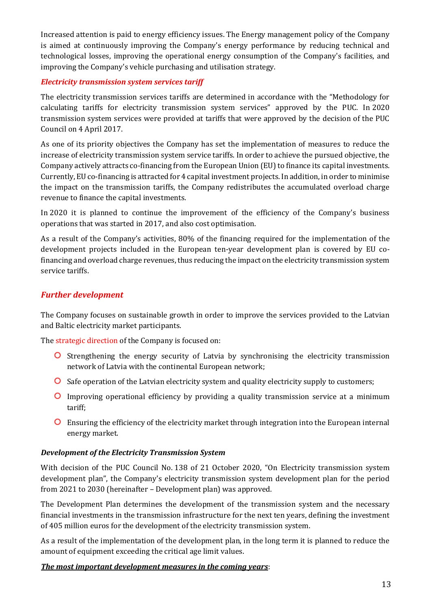Increased attention is paid to energy efficiency issues. The Energy management policy of the Company is aimed at continuously improving the Company's energy performance by reducing technical and technological losses, improving the operational energy consumption of the Company's facilities, and improving the Company's vehicle purchasing and utilisation strategy.

#### *Electricity transmission system services tariff*

The electricity transmission services tariffs are determined in accordance with the "Methodology for calculating tariffs for electricity transmission system services" approved by the PUC. In 2020 transmission system services were provided at tariffs that were approved by the decision of the PUC Council on 4 April 2017.

As one of its priority objectives the Company has set the implementation of measures to reduce the increase of electricity transmission system service tariffs. In order to achieve the pursued objective, the Company actively attracts co-financing from the European Union (EU) to finance its capital investments. Currently, EU co-financing is attracted for 4 capital investment projects. In addition, in order to minimise the impact on the transmission tariffs, the Company redistributes the accumulated overload charge revenue to finance the capital investments.

In 2020 it is planned to continue the improvement of the efficiency of the Company's business operations that was started in 2017, and also cost optimisation.

As a result of the Company's activities, 80% of the financing required for the implementation of the development projects included in the European ten-year development plan is covered by EU cofinancing and overload charge revenues, thus reducing the impact on the electricity transmission system service tariffs.

## *Further development*

The Company focuses on sustainable growth in order to improve the services provided to the Latvian and Baltic electricity market participants.

The strategic direction of the Company is focused on:

- **O** Strengthening the energy security of Latvia by synchronising the electricity transmission network of Latvia with the continental European network;
- **O** Safe operation of the Latvian electricity system and quality electricity supply to customers;
- **O** Improving operational efficiency by providing a quality transmission service at a minimum tariff;
- Ensuring the efficiency of the electricity market through integration into the European internal energy market.

## *Development of the Electricity Transmission System*

With decision of the PUC Council No. 138 of 21 October 2020, "On Electricity transmission system development plan", the Company's electricity transmission system development plan for the period from 2021 to 2030 (hereinafter – Development plan) was approved.

The Development Plan determines the development of the transmission system and the necessary financial investments in the transmission infrastructure for the next ten years, defining the investment of 405 million euros for the development of the electricity transmission system.

As a result of the implementation of the development plan, in the long term it is planned to reduce the amount of equipment exceeding the critical age limit values.

#### *The most important development measures in the coming years*: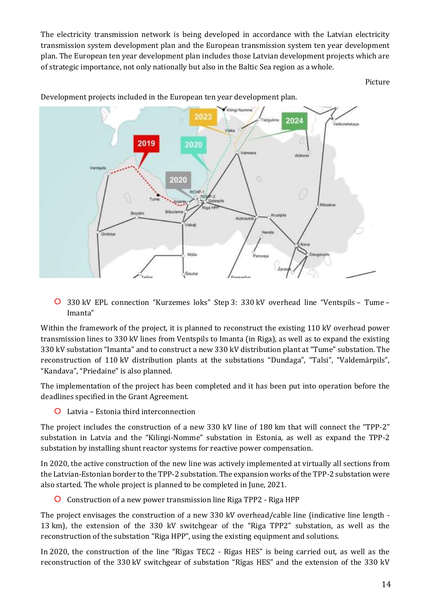The electricity transmission network is being developed in accordance with the Latvian electricity transmission system development plan and the European transmission system ten year development plan. The European ten year development plan includes those Latvian development projects which are of strategic importance, not only nationally but also in the Baltic Sea region as a whole.

Picture



Development projects included in the European ten year development plan.

330 kV EPL connection "Kurzemes loks" Step 3: 330 kV overhead line "Ventspils – Tume – Imanta"

Within the framework of the project, it is planned to reconstruct the existing 110 kV overhead power transmission lines to 330 kV lines from Ventspils to Imanta (in Riga), as well as to expand the existing 330 kV substation "Imanta" and to construct a new 330 kV distribution plant at "Tume" substation. The reconstruction of 110 kV distribution plants at the substations "Dundaga", "Talsi", "Valdemārpils", "Kandava", "Priedaine" is also planned.

The implementation of the project has been completed and it has been put into operation before the deadlines specified in the Grant Agreement.

Latvia – Estonia third interconnection

The project includes the construction of a new 330 kV line of 180 km that will connect the "TPP-2" substation in Latvia and the "Kilingi-Nomme" substation in Estonia, as well as expand the TPP-2 substation by installing shunt reactor systems for reactive power compensation.

In 2020, the active construction of the new line was actively implemented at virtually all sections from the Latvian-Estonian border to the TPP-2 substation. The expansion works of the TPP-2 substation were also started. The whole project is planned to be completed in June, 2021.

Construction of a new power transmission line Riga TPP2 - Riga HPP

The project envisages the construction of a new 330 kV overhead/cable line (indicative line length - 13 km), the extension of the 330 kV switchgear of the "Riga TPP2" substation, as well as the reconstruction of the substation "Riga HPP", using the existing equipment and solutions.

In 2020, the construction of the line "Rīgas TEC2 - Rīgas HES" is being carried out, as well as the reconstruction of the 330 kV switchgear of substation "Rīgas HES" and the extension of the 330 kV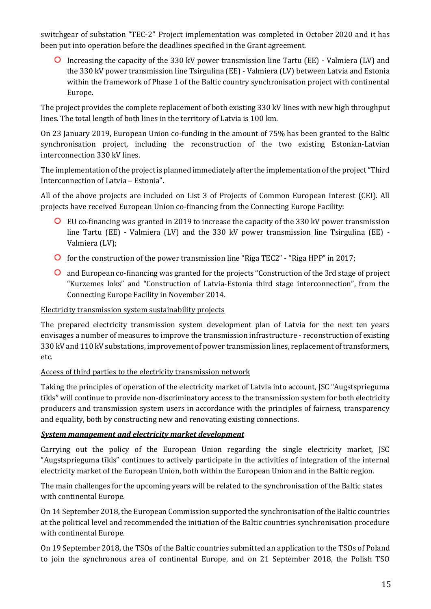switchgear of substation "TEC-2" Project implementation was completed in October 2020 and it has been put into operation before the deadlines specified in the Grant agreement.

Increasing the capacity of the 330 kV power transmission line Tartu (EE) - Valmiera (LV) and the 330 kV power transmission line Tsirgulina (EE) - Valmiera (LV) between Latvia and Estonia within the framework of Phase 1 of the Baltic country synchronisation project with continental Europe.

The project provides the complete replacement of both existing 330 kV lines with new high throughput lines. The total length of both lines in the territory of Latvia is 100 km.

On 23 January 2019, European Union co-funding in the amount of 75% has been granted to the Baltic synchronisation project, including the reconstruction of the two existing Estonian-Latvian interconnection 330 kV lines.

The implementation of the project is planned immediately after the implementation of the project "Third Interconnection of Latvia – Estonia".

All of the above projects are included on List 3 of Projects of Common European Interest (CEI). All projects have received European Union co-financing from the Connecting Europe Facility:

- EU co-financing was granted in 2019 to increase the capacity of the 330 kV power transmission line Tartu (EE) - Valmiera (LV) and the 330 kV power transmission line Tsirgulina (EE) - Valmiera (LV);
- for the construction of the power transmission line "Riga TEC2" "Riga HPP" in 2017;
- and European co-financing was granted for the projects "Construction of the 3rd stage of project "Kurzemes loks" and "Construction of Latvia-Estonia third stage interconnection", from the Connecting Europe Facility in November 2014.

## Electricity transmission system sustainability projects

The prepared electricity transmission system development plan of Latvia for the next ten years envisages a number of measures to improve the transmission infrastructure - reconstruction of existing 330 kV and 110 kV substations, improvement of power transmission lines, replacement of transformers, etc.

## Access of third parties to the electricity transmission network

Taking the principles of operation of the electricity market of Latvia into account, JSC "Augstsprieguma tīkls" will continue to provide non-discriminatory access to the transmission system for both electricity producers and transmission system users in accordance with the principles of fairness, transparency and equality, both by constructing new and renovating existing connections.

## *System management and electricity market development*

Carrying out the policy of the European Union regarding the single electricity market, JSC "Augstsprieguma tīkls" continues to actively participate in the activities of integration of the internal electricity market of the European Union, both within the European Union and in the Baltic region.

The main challenges for the upcoming years will be related to the synchronisation of the Baltic states with continental Europe.

On 14 September 2018, the European Commission supported the synchronisation of the Baltic countries at the political level and recommended the initiation of the Baltic countries synchronisation procedure with continental Europe.

On 19 September 2018, the TSOs of the Baltic countries submitted an application to the TSOs of Poland to join the synchronous area of continental Europe, and on 21 September 2018, the Polish TSO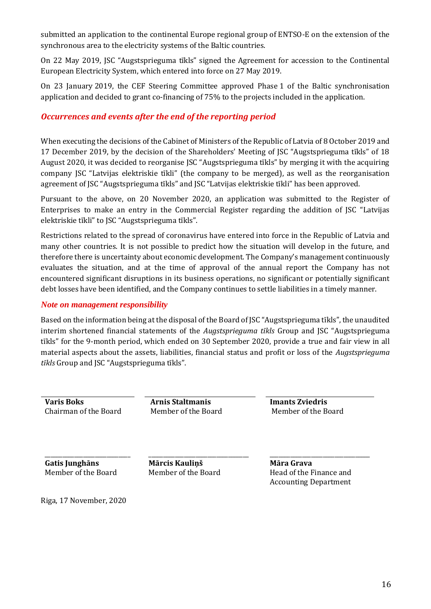submitted an application to the continental Europe regional group of ENTSO-E on the extension of the synchronous area to the electricity systems of the Baltic countries.

On 22 May 2019, JSC "Augstsprieguma tīkls" signed the Agreement for accession to the Continental European Electricity System, which entered into force on 27 May 2019.

On 23 January 2019, the CEF Steering Committee approved Phase 1 of the Baltic synchronisation application and decided to grant co-financing of 75% to the projects included in the application.

## *Occurrences and events after the end of the reporting period*

When executing the decisions of the Cabinet of Ministers of the Republic of Latvia of 8 October 2019 and 17 December 2019, by the decision of the Shareholders' Meeting of JSC "Augstsprieguma tīkls" of 18 August 2020, it was decided to reorganise JSC "Augstsprieguma tīkls" by merging it with the acquiring company JSC "Latvijas elektriskie tīkli" (the company to be merged), as well as the reorganisation agreement of JSC "Augstsprieguma tīkls" and JSC "Latvijas elektriskie tīkli" has been approved.

Pursuant to the above, on 20 November 2020, an application was submitted to the Register of Enterprises to make an entry in the Commercial Register regarding the addition of JSC "Latvijas elektriskie tīkli" to JSC "Augstsprieguma tīkls".

Restrictions related to the spread of coronavirus have entered into force in the Republic of Latvia and many other countries. It is not possible to predict how the situation will develop in the future, and therefore there is uncertainty about economic development. The Company's management continuously evaluates the situation, and at the time of approval of the annual report the Company has not encountered significant disruptions in its business operations, no significant or potentially significant debt losses have been identified, and the Company continues to settle liabilities in a timely manner.

#### *Note on management responsibility*

Based on the information being at the disposal of the Board of JSC "Augstsprieguma tīkls", the unaudited interim shortened financial statements of the *Augstsprieguma tīkls* Group and JSC "Augstsprieguma tīkls" for the 9-month period, which ended on 30 September 2020, provide a true and fair view in all material aspects about the assets, liabilities, financial status and profit or loss of the *Augstsprieguma tīkls* Group and JSC "Augstsprieguma tīkls".

Chairman of the Board Member of the Board Member of the Board

**Varis Boks Arnis Staltmanis Imants Zviedris**

**Gatis Junghāns** Member of the Board

\_\_\_\_\_\_\_\_\_\_\_\_\_\_\_\_\_\_\_\_\_\_\_\_\_\_\_\_\_

**Mārcis Kauliņš** Member of the Board

\_\_\_\_\_\_\_\_\_\_\_\_\_\_\_\_\_\_\_\_\_\_\_\_\_\_\_\_\_\_\_\_\_\_

**Māra Grava** Head of the Finance and Accounting Department

\_\_\_\_\_\_\_\_\_\_\_\_\_\_\_\_\_\_\_\_\_\_\_\_\_\_\_\_\_\_\_\_\_\_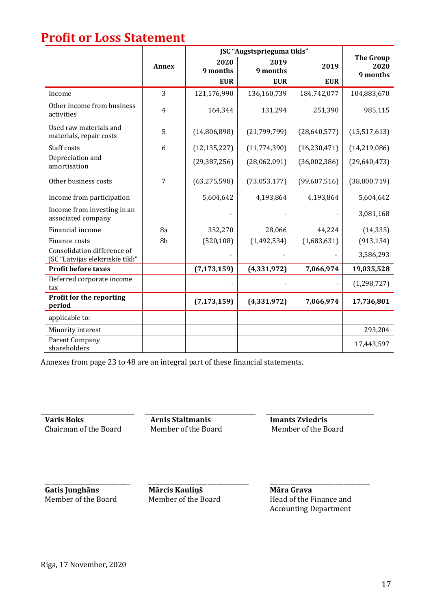## **Profit or Loss Statement**

|                                                                 |                | JSC "Augstsprieguma tīkls" |                  |                |                                      |
|-----------------------------------------------------------------|----------------|----------------------------|------------------|----------------|--------------------------------------|
|                                                                 | <b>Annex</b>   | 2020<br>9 months           | 2019<br>9 months | 2019           | <b>The Group</b><br>2020<br>9 months |
|                                                                 |                | <b>EUR</b>                 | <b>EUR</b>       | <b>EUR</b>     |                                      |
| Income                                                          | 3              | 121,176,990                | 136,160,739      | 184,742,077    | 104,883,670                          |
| Other income from business<br>activities                        | $\overline{4}$ | 164,344                    | 131,294          | 251,390        | 985,115                              |
| Used raw materials and<br>materials, repair costs               | 5              | (14,806,898)               | (21, 799, 799)   | (28,640,577)   | (15,517,613)                         |
| Staff costs                                                     | 6              | (12, 135, 227)             | (11, 774, 390)   | (16, 230, 471) | (14, 219, 086)                       |
| Depreciation and<br>amortisation                                |                | (29, 387, 256)             | (28,062,091)     | (36,002,386)   | (29,640,473)                         |
| Other business costs                                            | 7              | (63, 275, 598)             | (73,053,177)     | (99,607,516)   | (38,800,719)                         |
| Income from participation                                       |                | 5,604,642                  | 4,193,864        | 4,193,864      | 5,604,642                            |
| Income from investing in an<br>associated company               |                |                            |                  |                | 3,081,168                            |
| Financial income                                                | 8a             | 352,270                    | 28,066           | 44,224         | (14, 335)                            |
| Finance costs                                                   | 8b             | (520, 108)                 | (1,492,534)      | (1,683,631)    | (913, 134)                           |
| Consolidation difference of<br>JSC "Latvijas elektriskie tīkli" |                |                            |                  |                | 3,586,293                            |
| <b>Profit before taxes</b>                                      |                | (7, 173, 159)              | (4,331,972)      | 7,066,974      | 19,035,528                           |
| Deferred corporate income<br>tax                                |                |                            |                  |                | (1, 298, 727)                        |
| Profit for the reporting<br>period                              |                | (7, 173, 159)              | (4, 331, 972)    | 7,066,974      | 17,736,801                           |
| applicable to:                                                  |                |                            |                  |                |                                      |
| Minority interest                                               |                |                            |                  |                | 293,204                              |
| Parent Company<br>shareholders                                  |                |                            |                  |                | 17,443,597                           |

Annexes from page 23 to 48 are an integral part of these financial statements.

**Varis Boks Arnis Staltmanis Imants Zviedris** Chairman of the Board Member of the Board Member of the Board

**Gatis Junghāns** Member of the Board

\_\_\_\_\_\_\_\_\_\_\_\_\_\_\_\_\_\_\_\_\_\_\_\_\_\_\_\_\_

**Mārcis Kauliņš** Member of the Board

\_\_\_\_\_\_\_\_\_\_\_\_\_\_\_\_\_\_\_\_\_\_\_\_\_\_\_\_\_\_\_\_\_\_

**Māra Grava** Head of the Finance and Accounting Department

\_\_\_\_\_\_\_\_\_\_\_\_\_\_\_\_\_\_\_\_\_\_\_\_\_\_\_\_\_\_\_\_\_\_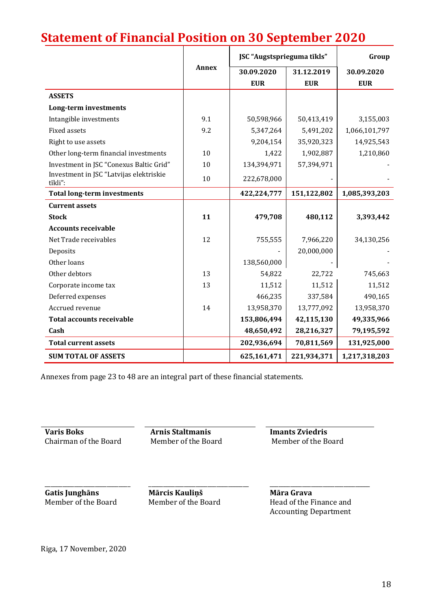# **Statement of Financial Position on 30 September 2020**

|                                                    |              | JSC "Augstsprieguma tīkls" |             | Group         |
|----------------------------------------------------|--------------|----------------------------|-------------|---------------|
|                                                    | <b>Annex</b> | 30.09.2020                 | 31.12.2019  | 30.09.2020    |
|                                                    |              | <b>EUR</b>                 | <b>EUR</b>  | <b>EUR</b>    |
| <b>ASSETS</b>                                      |              |                            |             |               |
| Long-term investments                              |              |                            |             |               |
| Intangible investments                             | 9.1          | 50,598,966                 | 50,413,419  | 3,155,003     |
| <b>Fixed assets</b>                                | 9.2          | 5,347,264                  | 5,491,202   | 1,066,101,797 |
| Right to use assets                                |              | 9,204,154                  | 35,920,323  | 14,925,543    |
| Other long-term financial investments              | 10           | 1,422                      | 1,902,887   | 1,210,860     |
| Investment in JSC "Conexus Baltic Grid"            | 10           | 134,394,971                | 57,394,971  |               |
| Investment in JSC "Latvijas elektriskie<br>tīkli": | 10           | 222,678,000                |             |               |
| <b>Total long-term investments</b>                 |              | 422,224,777                | 151,122,802 | 1,085,393,203 |
| <b>Current assets</b>                              |              |                            |             |               |
| <b>Stock</b>                                       | 11           | 479,708                    | 480,112     | 3,393,442     |
| <b>Accounts receivable</b>                         |              |                            |             |               |
| Net Trade receivables                              | 12           | 755,555                    | 7,966,220   | 34,130,256    |
| Deposits                                           |              |                            | 20,000,000  |               |
| Other loans                                        |              | 138,560,000                |             |               |
| Other debtors                                      | 13           | 54,822                     | 22,722      | 745,663       |
| Corporate income tax                               | 13           | 11,512                     | 11,512      | 11,512        |
| Deferred expenses                                  |              | 466,235                    | 337,584     | 490,165       |
| Accrued revenue                                    | 14           | 13,958,370                 | 13,777,092  | 13,958,370    |
| <b>Total accounts receivable</b>                   |              | 153,806,494                | 42,115,130  | 49,335,966    |
| Cash                                               |              | 48,650,492                 | 28,216,327  | 79,195,592    |
| <b>Total current assets</b>                        |              | 202,936,694                | 70,811,569  | 131,925,000   |
| <b>SUM TOTAL OF ASSETS</b>                         |              | 625,161,471                | 221,934,371 | 1,217,318,203 |

Annexes from page 23 to 48 are an integral part of these financial statements.

**Varis Boks**<br> **Arnis Staltmanis**<br> **Chairman of the Board**<br> **Member of the Board**<br> **Arnis Staltmanis**<br> **Member of the Board**<br> **Member of the Board** Chairman of the Board Member of the Board Member of the Board

**Gatis Junghāns** Member of the Board

\_\_\_\_\_\_\_\_\_\_\_\_\_\_\_\_\_\_\_\_\_\_\_\_\_\_\_\_\_

**Mārcis Kauliņš** Member of the Board

\_\_\_\_\_\_\_\_\_\_\_\_\_\_\_\_\_\_\_\_\_\_\_\_\_\_\_\_\_\_\_\_\_\_

**Māra Grava** Head of the Finance and Accounting Department

\_\_\_\_\_\_\_\_\_\_\_\_\_\_\_\_\_\_\_\_\_\_\_\_\_\_\_\_\_\_\_\_\_\_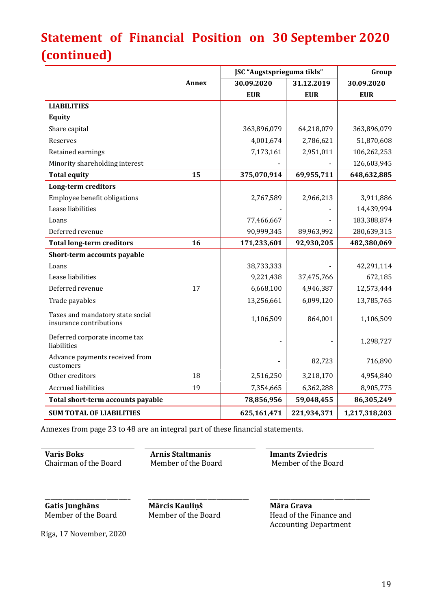# **Statement of Financial Position on 30 September 2020 (continued)**

|                                                             | JSC "Augstsprieguma tīkls" |             |             | Group         |
|-------------------------------------------------------------|----------------------------|-------------|-------------|---------------|
|                                                             | <b>Annex</b>               | 30.09.2020  | 31.12.2019  | 30.09.2020    |
|                                                             |                            | <b>EUR</b>  | <b>EUR</b>  | <b>EUR</b>    |
| <b>LIABILITIES</b>                                          |                            |             |             |               |
| <b>Equity</b>                                               |                            |             |             |               |
| Share capital                                               |                            | 363,896,079 | 64,218,079  | 363,896,079   |
| Reserves                                                    |                            | 4,001,674   | 2,786,621   | 51,870,608    |
| Retained earnings                                           |                            | 7,173,161   | 2,951,011   | 106,262,253   |
| Minority shareholding interest                              |                            |             |             | 126,603,945   |
| <b>Total equity</b>                                         | 15                         | 375,070,914 | 69,955,711  | 648,632,885   |
| <b>Long-term creditors</b>                                  |                            |             |             |               |
| Employee benefit obligations                                |                            | 2,767,589   | 2,966,213   | 3,911,886     |
| Lease liabilities                                           |                            |             |             | 14,439,994    |
| Loans                                                       |                            | 77,466,667  |             | 183,388,874   |
| Deferred revenue                                            |                            | 90,999,345  | 89,963,992  | 280,639,315   |
| <b>Total long-term creditors</b>                            | 16                         | 171,233,601 | 92,930,205  | 482,380,069   |
| Short-term accounts payable                                 |                            |             |             |               |
| Loans                                                       |                            | 38,733,333  |             | 42,291,114    |
| Lease liabilities                                           |                            | 9,221,438   | 37,475,766  | 672,185       |
| Deferred revenue                                            | 17                         | 6,668,100   | 4,946,387   | 12,573,444    |
| Trade payables                                              |                            | 13,256,661  | 6,099,120   | 13,785,765    |
| Taxes and mandatory state social<br>insurance contributions |                            | 1,106,509   | 864,001     | 1,106,509     |
| Deferred corporate income tax<br>liabilities                |                            |             |             | 1,298,727     |
| Advance payments received from<br>customers                 |                            |             | 82,723      | 716,890       |
| Other creditors                                             | 18                         | 2,516,250   | 3,218,170   | 4,954,840     |
| <b>Accrued liabilities</b>                                  | 19                         | 7,354,665   | 6,362,288   | 8,905,775     |
| Total short-term accounts payable                           |                            | 78,856,956  | 59,048,455  | 86,305,249    |
| <b>SUM TOTAL OF LIABILITIES</b>                             |                            | 625,161,471 | 221,934,371 | 1,217,318,203 |

Annexes from page 23 to 48 are an integral part of these financial statements.

**Varis Boks**<br> **Arnis Staltmanis**<br> **Chairman of the Board**<br> **Arnis Staltmanis**<br> **Arnis Staltmanis**<br> **Imants Zviedris**<br> **Member of the Board**<br> **Member of the Board** Chairman of the Board Member of the Board Member of the Board

\_\_\_\_\_\_\_\_\_\_\_\_\_\_\_\_\_\_\_\_\_\_\_\_\_\_\_\_\_ **Gatis Junghāns** Member of the Board

\_\_\_\_\_\_\_\_\_\_\_\_\_\_\_\_\_\_\_\_\_\_\_\_\_\_\_\_\_\_\_\_\_\_ **Mārcis Kauliņš** Member of the Board

\_\_\_\_\_\_\_\_\_\_\_\_\_\_\_\_\_\_\_\_\_\_\_\_\_\_\_\_\_\_\_\_\_\_ **Māra Grava** Head of the Finance and Accounting Department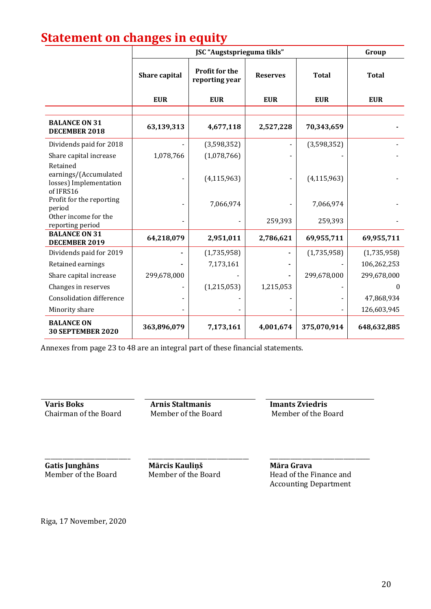# **Statement on changes in equity**

|                                                                          |               | Group                                   |                 |               |              |
|--------------------------------------------------------------------------|---------------|-----------------------------------------|-----------------|---------------|--------------|
|                                                                          | Share capital | <b>Profit for the</b><br>reporting year | <b>Reserves</b> | <b>Total</b>  | <b>Total</b> |
|                                                                          | <b>EUR</b>    | <b>EUR</b>                              | <b>EUR</b>      | <b>EUR</b>    | <b>EUR</b>   |
| <b>BALANCE ON 31</b><br>DECEMBER 2018                                    | 63,139,313    | 4,677,118                               | 2,527,228       | 70,343,659    |              |
| Dividends paid for 2018                                                  |               | (3,598,352)                             |                 | (3,598,352)   |              |
| Share capital increase                                                   | 1,078,766     | (1,078,766)                             |                 |               |              |
| Retained<br>earnings/(Accumulated<br>losses) Implementation<br>of IFRS16 |               | (4, 115, 963)                           |                 | (4, 115, 963) |              |
| Profit for the reporting<br>period                                       |               | 7,066,974                               |                 | 7,066,974     |              |
| Other income for the<br>reporting period                                 |               |                                         | 259,393         | 259,393       |              |
| <b>BALANCE ON 31</b><br>DECEMBER 2019                                    | 64,218,079    | 2,951,011                               | 2,786,621       | 69,955,711    | 69,955,711   |
| Dividends paid for 2019                                                  |               | (1,735,958)                             |                 | (1,735,958)   | (1,735,958)  |
| Retained earnings                                                        |               | 7,173,161                               |                 |               | 106,262,253  |
| Share capital increase                                                   | 299,678,000   |                                         |                 | 299,678,000   | 299,678,000  |
| Changes in reserves                                                      |               | (1,215,053)                             | 1,215,053       |               | $\theta$     |
| <b>Consolidation difference</b>                                          |               |                                         |                 |               | 47,868,934   |
| Minority share                                                           |               |                                         |                 |               | 126,603,945  |
| <b>BALANCE ON</b><br><b>30 SEPTEMBER 2020</b>                            | 363,896,079   | 7,173,161                               | 4,001,674       | 375,070,914   | 648,632,885  |

Annexes from page 23 to 48 are an integral part of these financial statements.

**Varis Boks Arnis Staltmanis Imants Zviedris** Chairman of the Board Member of the Board Member of the Board

**Gatis Junghāns** Member of the Board

\_\_\_\_\_\_\_\_\_\_\_\_\_\_\_\_\_\_\_\_\_\_\_\_\_\_\_\_\_

**Mārcis Kauliņš** Member of the Board

\_\_\_\_\_\_\_\_\_\_\_\_\_\_\_\_\_\_\_\_\_\_\_\_\_\_\_\_\_\_\_\_\_\_

**Māra Grava** Head of the Finance and Accounting Department

\_\_\_\_\_\_\_\_\_\_\_\_\_\_\_\_\_\_\_\_\_\_\_\_\_\_\_\_\_\_\_\_\_\_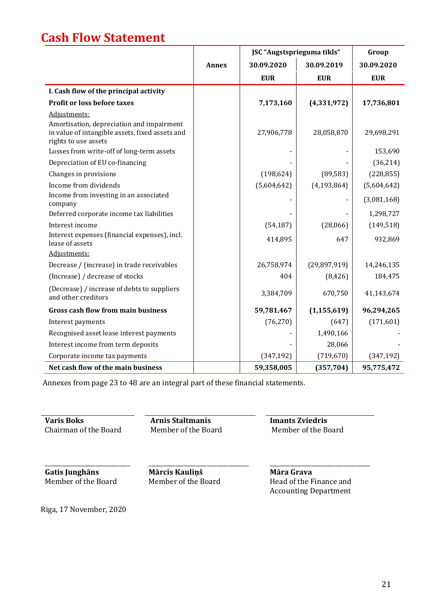# **Cash Flow Statement**

|                                                                                                                      |       | JSC "Augstsprieguma tīkls" |                | Group       |
|----------------------------------------------------------------------------------------------------------------------|-------|----------------------------|----------------|-------------|
|                                                                                                                      | Annex | 30.09.2020                 | 30.09.2019     | 30.09.2020  |
|                                                                                                                      |       | <b>EUR</b>                 | <b>EUR</b>     | <b>EUR</b>  |
| I. Cash flow of the principal activity                                                                               |       |                            |                |             |
| Profit or loss before taxes                                                                                          |       | 7,173,160                  | (4,331,972)    | 17,736,801  |
| Adjustments:                                                                                                         |       |                            |                |             |
| Amortisation, depreciation and impairment<br>in value of intangible assets, fixed assets and<br>rights to use assets |       | 27,906,778                 | 28,058,870     | 29,698,291  |
| Losses from write-off of long-term assets                                                                            |       |                            |                | 153,690     |
| Depreciation of EU co-financing                                                                                      |       |                            |                | (36, 214)   |
| Changes in provisions                                                                                                |       | (198, 624)                 | (89, 583)      | (228, 855)  |
| Income from dividends                                                                                                |       | (5,604,642)                | (4, 193, 864)  | (5,604,642) |
| Income from investing in an associated<br>company                                                                    |       |                            |                | (3,081,168) |
| Deferred corporate income tax liabilities                                                                            |       |                            |                | 1,298,727   |
| Interest income                                                                                                      |       | (54, 187)                  | (28,066)       | (149, 518)  |
| Interest expenses (financial expenses), incl.<br>lease of assets                                                     |       | 414,895                    | 647            | 932,869     |
| Adjustments:                                                                                                         |       |                            |                |             |
| Decrease / (increase) in trade receivables                                                                           |       | 26,758,974                 | (29, 897, 919) | 14,246,135  |
| (Increase) / decrease of stocks                                                                                      |       | 404                        | (8, 426)       | 184,475     |
| (Decrease) / increase of debts to suppliers<br>and other creditors                                                   |       | 3,384,709                  | 670,750        | 41,143,674  |
| <b>Gross cash flow from main business</b>                                                                            |       | 59,781,467                 | (1, 155, 619)  | 96,294,265  |
| Interest payments                                                                                                    |       | (76, 270)                  | (647)          | (171,601)   |
| Recognised asset lease interest payments                                                                             |       |                            | 1,490,166      |             |
| Interest income from term deposits                                                                                   |       |                            | 28,066         |             |
| Corporate income tax payments                                                                                        |       | (347, 192)                 | (719, 670)     | (347, 192)  |
| Net cash flow of the main business                                                                                   |       | 59,358,005                 | (357, 704)     | 95,775,472  |

Annexes from page 23 to 48 are an integral part of these financial statements.

**Varis Boks**<br> **Arnis Staltmanis**<br> **Chairman of the Board**<br> **Arnis Staltmanis**<br> **Arnis Staltmanis**<br> **Imants Zviedris**<br> **Member of the Board**<br> **Member of the Board** Chairman of the Board

**Gatis Junghāns** Member of the Board

\_\_\_\_\_\_\_\_\_\_\_\_\_\_\_\_\_\_\_\_\_\_\_\_\_\_\_\_\_

**Mārcis Kauliņš** Member of the Board

\_\_\_\_\_\_\_\_\_\_\_\_\_\_\_\_\_\_\_\_\_\_\_\_\_\_\_\_\_\_\_\_\_\_

**Māra Grava** Head of the Finance and Accounting Department

\_\_\_\_\_\_\_\_\_\_\_\_\_\_\_\_\_\_\_\_\_\_\_\_\_\_\_\_\_\_\_\_\_\_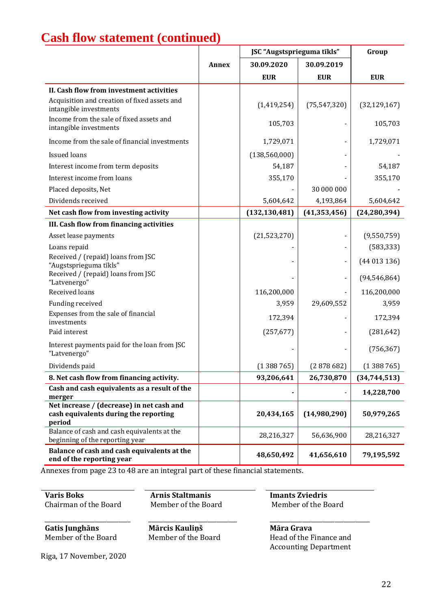# **Cash flow statement (continued)**

|                                                                                              |              | JSC "Augstsprieguma tīkls" |                              | Group          |
|----------------------------------------------------------------------------------------------|--------------|----------------------------|------------------------------|----------------|
|                                                                                              | <b>Annex</b> | 30.09.2020                 | 30.09.2019                   |                |
|                                                                                              |              | <b>EUR</b>                 | <b>EUR</b>                   | <b>EUR</b>     |
| II. Cash flow from investment activities                                                     |              |                            |                              |                |
| Acquisition and creation of fixed assets and<br>intangible investments                       |              | (1,419,254)                | (75, 547, 320)               | (32, 129, 167) |
| Income from the sale of fixed assets and<br>intangible investments                           |              | 105,703                    |                              | 105,703        |
| Income from the sale of financial investments                                                |              | 1,729,071                  | -                            | 1,729,071      |
| <b>Issued loans</b>                                                                          |              | (138, 560, 000)            |                              |                |
| Interest income from term deposits                                                           |              | 54,187                     |                              | 54,187         |
| Interest income from loans                                                                   |              | 355,170                    |                              | 355,170        |
| Placed deposits, Net                                                                         |              |                            | 30 000 000                   |                |
| Dividends received                                                                           |              | 5,604,642                  | 4,193,864                    | 5,604,642      |
| Net cash flow from investing activity                                                        |              | (132, 130, 481)            | (41, 353, 456)               | (24, 280, 394) |
| III. Cash flow from financing activities                                                     |              |                            |                              |                |
| Asset lease payments                                                                         |              | (21,523,270)               | $\overline{\phantom{a}}$     | (9,550,759)    |
| Loans repaid                                                                                 |              |                            | -                            | (583, 333)     |
| Received / (repaid) loans from JSC<br>"Augstsprieguma tīkls"                                 |              |                            | $\qquad \qquad \blacksquare$ | (44013136)     |
| Received / (repaid) loans from JSC<br>"Latvenergo"                                           |              |                            | $\blacksquare$               | (94, 546, 864) |
| Received loans                                                                               |              | 116,200,000                |                              | 116,200,000    |
| Funding received                                                                             |              | 3,959                      | 29,609,552                   | 3,959          |
| Expenses from the sale of financial<br>investments                                           |              | 172,394                    |                              | 172,394        |
| Paid interest                                                                                |              | (257, 677)                 |                              | (281, 642)     |
| Interest payments paid for the loan from JSC<br>"Latvenergo"                                 |              |                            |                              | (756, 367)     |
| Dividends paid                                                                               |              | (1388765)                  | (2878682)                    | (1388765)      |
| 8. Net cash flow from financing activity.                                                    |              | 93,206,641                 | 26,730,870                   | (34, 744, 513) |
| Cash and cash equivalents as a result of the<br>merger                                       |              |                            | -                            | 14,228,700     |
| Net increase / (decrease) in net cash and<br>cash equivalents during the reporting<br>period |              | 20,434,165                 | (14,980,290)                 | 50,979,265     |
| Balance of cash and cash equivalents at the<br>beginning of the reporting year               |              | 28,216,327                 | 56,636,900                   | 28,216,327     |
| Balance of cash and cash equivalents at the<br>end of the reporting year                     |              | 48,650,492                 | 41,656,610                   | 79,195,592     |

Annexes from page 23 to 48 are an integral part of these financial statements.

**Varis Boks Arnis Staltmanis Imants Zviedris** Chairman of the Board Member of the Board Member of the Board

\_\_\_\_\_\_\_\_\_\_\_\_\_\_\_\_\_\_\_\_\_\_\_\_\_\_\_\_\_ **Gatis Junghāns** Member of the Board

\_\_\_\_\_\_\_\_\_\_\_\_\_\_\_\_\_\_\_\_\_\_\_\_\_\_\_\_\_\_ **Mārcis Kauliņš** Member of the Board

\_\_\_\_\_\_\_\_\_\_\_\_\_\_\_\_\_\_\_\_\_\_\_\_\_\_\_\_\_\_\_\_\_\_

**Māra Grava** Head of the Finance and Accounting Department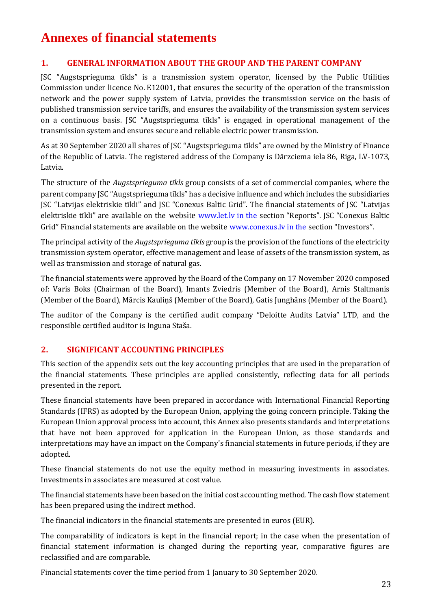# **Annexes of financial statements**

## **1. GENERAL INFORMATION ABOUT THE GROUP AND THE PARENT COMPANY**

JSC "Augstsprieguma tīkls" is a transmission system operator, licensed by the Public Utilities Commission under licence No. E12001, that ensures the security of the operation of the transmission network and the power supply system of Latvia, provides the transmission service on the basis of published transmission service tariffs, and ensures the availability of the transmission system services on a continuous basis. JSC "Augstsprieguma tīkls" is engaged in operational management of the transmission system and ensures secure and reliable electric power transmission.

As at 30 September 2020 all shares of JSC "Augstsprieguma tīkls" are owned by the Ministry of Finance of the Republic of Latvia. The registered address of the Company is Dārzciema iela 86, Riga, LV-1073, Latvia.

The structure of the *Augstsprieguma tīkls* group consists of a set of commercial companies, where the parent company JSC "Augstsprieguma tīkls" has a decisive influence and which includes the subsidiaries JSC "Latvijas elektriskie tīkli" and JSC "Conexus Baltic Grid". The financial statements of JSC "Latvijas elektriskie tīkli" are available on the website www.let.ly in the section "Reports". JSC "Conexus Baltic Grid" Financial statements are available on the website [www.conexus.lv in the](http://www.conexus.lv/) section "Investors".

The principal activity of the *Augstsprieguma tīkls* group is the provision of the functions of the electricity transmission system operator, effective management and lease of assets of the transmission system, as well as transmission and storage of natural gas.

The financial statements were approved by the Board of the Company on 17 November 2020 composed of: Varis Boks (Chairman of the Board), Imants Zviedris (Member of the Board), Arnis Staltmanis (Member of the Board), Mārcis Kauliņš (Member of the Board), Gatis Junghāns (Member of the Board).

The auditor of the Company is the certified audit company "Deloitte Audits Latvia" LTD, and the responsible certified auditor is Inguna Staša.

## **2. SIGNIFICANT ACCOUNTING PRINCIPLES**

This section of the appendix sets out the key accounting principles that are used in the preparation of the financial statements. These principles are applied consistently, reflecting data for all periods presented in the report.

These financial statements have been prepared in accordance with International Financial Reporting Standards (IFRS) as adopted by the European Union, applying the going concern principle. Taking the European Union approval process into account, this Annex also presents standards and interpretations that have not been approved for application in the European Union, as those standards and interpretations may have an impact on the Company's financial statements in future periods, if they are adopted.

These financial statements do not use the equity method in measuring investments in associates. Investments in associates are measured at cost value.

The financial statements have been based on the initial cost accounting method. The cash flow statement has been prepared using the indirect method.

The financial indicators in the financial statements are presented in euros (EUR).

The comparability of indicators is kept in the financial report; in the case when the presentation of financial statement information is changed during the reporting year, comparative figures are reclassified and are comparable.

Financial statements cover the time period from 1 January to 30 September 2020.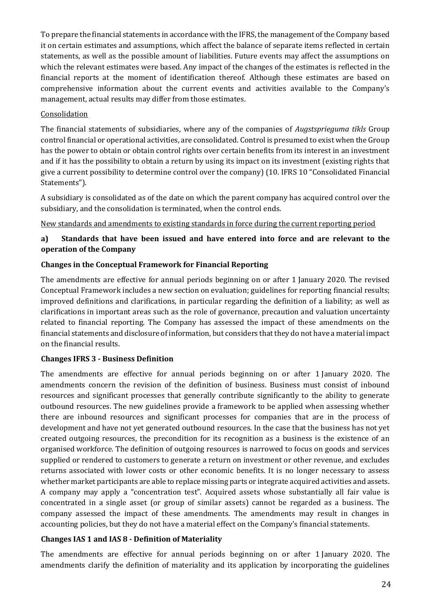To prepare the financial statements in accordance with the IFRS, the management of the Company based it on certain estimates and assumptions, which affect the balance of separate items reflected in certain statements, as well as the possible amount of liabilities. Future events may affect the assumptions on which the relevant estimates were based. Any impact of the changes of the estimates is reflected in the financial reports at the moment of identification thereof. Although these estimates are based on comprehensive information about the current events and activities available to the Company's management, actual results may differ from those estimates.

#### **Consolidation**

The financial statements of subsidiaries, where any of the companies of *Augstsprieguma tīkls* Group control financial or operational activities, are consolidated. Control is presumed to exist when the Group has the power to obtain or obtain control rights over certain benefits from its interest in an investment and if it has the possibility to obtain a return by using its impact on its investment (existing rights that give a current possibility to determine control over the company) (10. IFRS 10 "Consolidated Financial Statements").

A subsidiary is consolidated as of the date on which the parent company has acquired control over the subsidiary, and the consolidation is terminated, when the control ends.

#### New standards and amendments to existing standards in force during the current reporting period

## **a) Standards that have been issued and have entered into force and are relevant to the operation of the Company**

#### **Changes in the Conceptual Framework for Financial Reporting**

The amendments are effective for annual periods beginning on or after 1 January 2020. The revised Conceptual Framework includes a new section on evaluation; guidelines for reporting financial results; improved definitions and clarifications, in particular regarding the definition of a liability; as well as clarifications in important areas such as the role of governance, precaution and valuation uncertainty related to financial reporting. The Company has assessed the impact of these amendments on the financial statements and disclosure of information, but considers that they do not have a material impact on the financial results.

## **Changes IFRS 3 - Business Definition**

The amendments are effective for annual periods beginning on or after 1 January 2020. The amendments concern the revision of the definition of business. Business must consist of inbound resources and significant processes that generally contribute significantly to the ability to generate outbound resources. The new guidelines provide a framework to be applied when assessing whether there are inbound resources and significant processes for companies that are in the process of development and have not yet generated outbound resources. In the case that the business has not yet created outgoing resources, the precondition for its recognition as a business is the existence of an organised workforce. The definition of outgoing resources is narrowed to focus on goods and services supplied or rendered to customers to generate a return on investment or other revenue, and excludes returns associated with lower costs or other economic benefits. It is no longer necessary to assess whether market participants are able to replace missing parts or integrate acquired activities and assets. A company may apply a "concentration test". Acquired assets whose substantially all fair value is concentrated in a single asset (or group of similar assets) cannot be regarded as a business. The company assessed the impact of these amendments. The amendments may result in changes in accounting policies, but they do not have a material effect on the Company's financial statements.

## **Changes IAS 1 and IAS 8 - Definition of Materiality**

The amendments are effective for annual periods beginning on or after 1 January 2020. The amendments clarify the definition of materiality and its application by incorporating the guidelines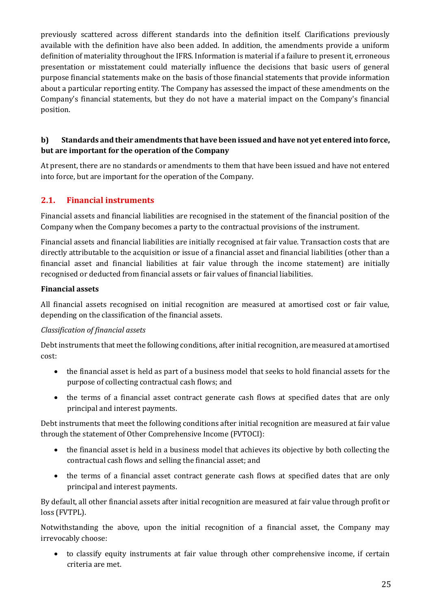previously scattered across different standards into the definition itself. Clarifications previously available with the definition have also been added. In addition, the amendments provide a uniform definition of materiality throughout the IFRS. Information is material if a failure to present it, erroneous presentation or misstatement could materially influence the decisions that basic users of general purpose financial statements make on the basis of those financial statements that provide information about a particular reporting entity. The Company has assessed the impact of these amendments on the Company's financial statements, but they do not have a material impact on the Company's financial position.

## **b) Standards and their amendments that have been issued and have not yet entered into force, but are important for the operation of the Company**

At present, there are no standards or amendments to them that have been issued and have not entered into force, but are important for the operation of the Company.

## **2.1. Financial instruments**

Financial assets and financial liabilities are recognised in the statement of the financial position of the Company when the Company becomes a party to the contractual provisions of the instrument.

Financial assets and financial liabilities are initially recognised at fair value. Transaction costs that are directly attributable to the acquisition or issue of a financial asset and financial liabilities (other than a financial asset and financial liabilities at fair value through the income statement) are initially recognised or deducted from financial assets or fair values of financial liabilities.

#### **Financial assets**

All financial assets recognised on initial recognition are measured at amortised cost or fair value, depending on the classification of the financial assets.

## *Classification of financial assets*

Debt instruments that meet the following conditions, after initial recognition, are measured at amortised cost:

- the financial asset is held as part of a business model that seeks to hold financial assets for the purpose of collecting contractual cash flows; and
- the terms of a financial asset contract generate cash flows at specified dates that are only principal and interest payments.

Debt instruments that meet the following conditions after initial recognition are measured at fair value through the statement of Other Comprehensive Income (FVTOCI):

- the financial asset is held in a business model that achieves its objective by both collecting the contractual cash flows and selling the financial asset; and
- the terms of a financial asset contract generate cash flows at specified dates that are only principal and interest payments.

By default, all other financial assets after initial recognition are measured at fair value through profit or loss (FVTPL).

Notwithstanding the above, upon the initial recognition of a financial asset, the Company may irrevocably choose:

• to classify equity instruments at fair value through other comprehensive income, if certain criteria are met.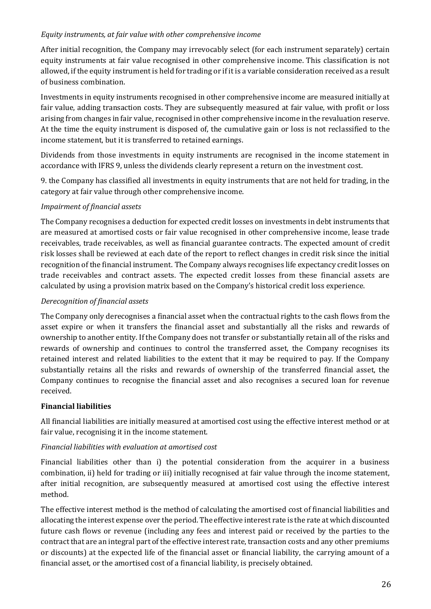#### *Equity instruments, at fair value with other comprehensive income*

After initial recognition, the Company may irrevocably select (for each instrument separately) certain equity instruments at fair value recognised in other comprehensive income. This classification is not allowed, if the equity instrument is held for trading or if it is a variable consideration received as a result of business combination.

Investments in equity instruments recognised in other comprehensive income are measured initially at fair value, adding transaction costs. They are subsequently measured at fair value, with profit or loss arising from changes in fair value, recognised in other comprehensive income in the revaluation reserve. At the time the equity instrument is disposed of, the cumulative gain or loss is not reclassified to the income statement, but it is transferred to retained earnings.

Dividends from those investments in equity instruments are recognised in the income statement in accordance with IFRS 9, unless the dividends clearly represent a return on the investment cost.

9. the Company has classified all investments in equity instruments that are not held for trading, in the category at fair value through other comprehensive income.

## *Impairment of financial assets*

The Company recognises a deduction for expected credit losses on investments in debt instruments that are measured at amortised costs or fair value recognised in other comprehensive income, lease trade receivables, trade receivables, as well as financial guarantee contracts. The expected amount of credit risk losses shall be reviewed at each date of the report to reflect changes in credit risk since the initial recognition of the financial instrument. The Company always recognises life expectancy credit losses on trade receivables and contract assets. The expected credit losses from these financial assets are calculated by using a provision matrix based on the Company's historical credit loss experience.

#### *Derecognition of financial assets*

The Company only derecognises a financial asset when the contractual rights to the cash flows from the asset expire or when it transfers the financial asset and substantially all the risks and rewards of ownership to another entity. If the Company does not transfer or substantially retain all of the risks and rewards of ownership and continues to control the transferred asset, the Company recognises its retained interest and related liabilities to the extent that it may be required to pay. If the Company substantially retains all the risks and rewards of ownership of the transferred financial asset, the Company continues to recognise the financial asset and also recognises a secured loan for revenue received.

#### **Financial liabilities**

All financial liabilities are initially measured at amortised cost using the effective interest method or at fair value, recognising it in the income statement.

## *Financial liabilities with evaluation at amortised cost*

Financial liabilities other than i) the potential consideration from the acquirer in a business combination, ii) held for trading or iii) initially recognised at fair value through the income statement, after initial recognition, are subsequently measured at amortised cost using the effective interest method.

The effective interest method is the method of calculating the amortised cost of financial liabilities and allocating the interest expense over the period. The effective interest rate is the rate at which discounted future cash flows or revenue (including any fees and interest paid or received by the parties to the contract that are an integral part of the effective interest rate, transaction costs and any other premiums or discounts) at the expected life of the financial asset or financial liability, the carrying amount of a financial asset, or the amortised cost of a financial liability, is precisely obtained.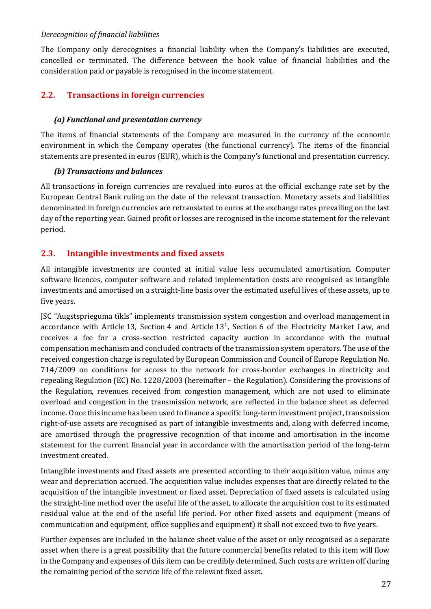#### *Derecognition of financial liabilities*

The Company only derecognises a financial liability when the Company's liabilities are executed, cancelled or terminated. The difference between the book value of financial liabilities and the consideration paid or payable is recognised in the income statement.

## **2.2. Transactions in foreign currencies**

#### *(a) Functional and presentation currency*

The items of financial statements of the Company are measured in the currency of the economic environment in which the Company operates (the functional currency). The items of the financial statements are presented in euros (EUR), which is the Company's functional and presentation currency.

#### *(b) Transactions and balances*

All transactions in foreign currencies are revalued into euros at the official exchange rate set by the European Central Bank ruling on the date of the relevant transaction. Monetary assets and liabilities denominated in foreign currencies are retranslated to euros at the exchange rates prevailing on the last day of the reporting year. Gained profit or losses are recognised in the income statement for the relevant period.

## **2.3. Intangible investments and fixed assets**

All intangible investments are counted at initial value less accumulated amortisation. Computer software licences, computer software and related implementation costs are recognised as intangible investments and amortised on a straight-line basis over the estimated useful lives of these assets, up to five years.

JSC "Augstsprieguma tīkls" implements transmission system congestion and overload management in accordance with Article 13, Section 4 and Article  $13<sup>1</sup>$ , Section 6 of the Electricity Market Law, and receives a fee for a cross-section restricted capacity auction in accordance with the mutual compensation mechanism and concluded contracts of the transmission system operators. The use of the received congestion charge is regulated by European Commission and Council of Europe Regulation No. 714/2009 on conditions for access to the network for cross-border exchanges in electricity and repealing Regulation (EC) No. 1228/2003 (hereinafter – the Regulation). Considering the provisions of the Regulation, revenues received from congestion management, which are not used to eliminate overload and congestion in the transmission network, are reflected in the balance sheet as deferred income. Once this income has been used to finance a specific long-term investment project, transmission right-of-use assets are recognised as part of intangible investments and, along with deferred income, are amortised through the progressive recognition of that income and amortisation in the income statement for the current financial year in accordance with the amortisation period of the long-term investment created.

Intangible investments and fixed assets are presented according to their acquisition value, minus any wear and depreciation accrued. The acquisition value includes expenses that are directly related to the acquisition of the intangible investment or fixed asset. Depreciation of fixed assets is calculated using the straight-line method over the useful life of the asset, to allocate the acquisition cost to its estimated residual value at the end of the useful life period. For other fixed assets and equipment (means of communication and equipment, office supplies and equipment) it shall not exceed two to five years.

Further expenses are included in the balance sheet value of the asset or only recognised as a separate asset when there is a great possibility that the future commercial benefits related to this item will flow in the Company and expenses of this item can be credibly determined. Such costs are written off during the remaining period of the service life of the relevant fixed asset.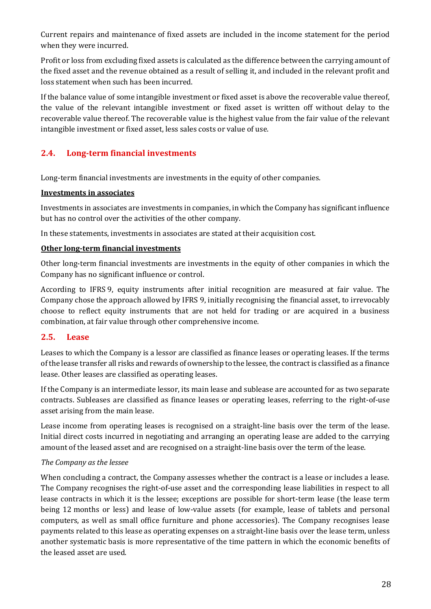Current repairs and maintenance of fixed assets are included in the income statement for the period when they were incurred.

Profit or loss from excluding fixed assets is calculated as the difference between the carrying amount of the fixed asset and the revenue obtained as a result of selling it, and included in the relevant profit and loss statement when such has been incurred.

If the balance value of some intangible investment or fixed asset is above the recoverable value thereof, the value of the relevant intangible investment or fixed asset is written off without delay to the recoverable value thereof. The recoverable value is the highest value from the fair value of the relevant intangible investment or fixed asset, less sales costs or value of use.

## **2.4. Long-term financial investments**

Long-term financial investments are investments in the equity of other companies.

#### **Investments in associates**

Investments in associates are investments in companies, in which the Company has significant influence but has no control over the activities of the other company.

In these statements, investments in associates are stated at their acquisition cost.

## **Other long-term financial investments**

Other long-term financial investments are investments in the equity of other companies in which the Company has no significant influence or control.

According to IFRS 9, equity instruments after initial recognition are measured at fair value. The Company chose the approach allowed by IFRS 9, initially recognising the financial asset, to irrevocably choose to reflect equity instruments that are not held for trading or are acquired in a business combination, at fair value through other comprehensive income.

## **2.5. Lease**

Leases to which the Company is a lessor are classified as finance leases or operating leases. If the terms of the lease transfer all risks and rewards of ownership to the lessee, the contract is classified as a finance lease. Other leases are classified as operating leases.

If the Company is an intermediate lessor, its main lease and sublease are accounted for as two separate contracts. Subleases are classified as finance leases or operating leases, referring to the right-of-use asset arising from the main lease.

Lease income from operating leases is recognised on a straight-line basis over the term of the lease. Initial direct costs incurred in negotiating and arranging an operating lease are added to the carrying amount of the leased asset and are recognised on a straight-line basis over the term of the lease.

## *The Company as the lessee*

When concluding a contract, the Company assesses whether the contract is a lease or includes a lease. The Company recognises the right-of-use asset and the corresponding lease liabilities in respect to all lease contracts in which it is the lessee; exceptions are possible for short-term lease (the lease term being 12 months or less) and lease of low-value assets (for example, lease of tablets and personal computers, as well as small office furniture and phone accessories). The Company recognises lease payments related to this lease as operating expenses on a straight-line basis over the lease term, unless another systematic basis is more representative of the time pattern in which the economic benefits of the leased asset are used.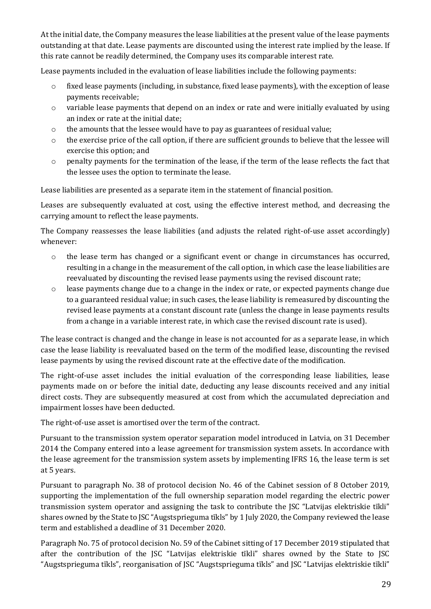At the initial date, the Company measures the lease liabilities at the present value of the lease payments outstanding at that date. Lease payments are discounted using the interest rate implied by the lease. If this rate cannot be readily determined, the Company uses its comparable interest rate.

Lease payments included in the evaluation of lease liabilities include the following payments:

- o fixed lease payments (including, in substance, fixed lease payments), with the exception of lease payments receivable;
- $\circ$  variable lease payments that depend on an index or rate and were initially evaluated by using an index or rate at the initial date;
- o the amounts that the lessee would have to pay as guarantees of residual value;
- o the exercise price of the call option, if there are sufficient grounds to believe that the lessee will exercise this option; and
- o penalty payments for the termination of the lease, if the term of the lease reflects the fact that the lessee uses the option to terminate the lease.

Lease liabilities are presented as a separate item in the statement of financial position.

Leases are subsequently evaluated at cost, using the effective interest method, and decreasing the carrying amount to reflect the lease payments.

The Company reassesses the lease liabilities (and adjusts the related right-of-use asset accordingly) whenever:

- o the lease term has changed or a significant event or change in circumstances has occurred, resulting in a change in the measurement of the call option, in which case the lease liabilities are reevaluated by discounting the revised lease payments using the revised discount rate;
- $\circ$  lease payments change due to a change in the index or rate, or expected payments change due to a guaranteed residual value; in such cases, the lease liability is remeasured by discounting the revised lease payments at a constant discount rate (unless the change in lease payments results from a change in a variable interest rate, in which case the revised discount rate is used).

The lease contract is changed and the change in lease is not accounted for as a separate lease, in which case the lease liability is reevaluated based on the term of the modified lease, discounting the revised lease payments by using the revised discount rate at the effective date of the modification.

The right-of-use asset includes the initial evaluation of the corresponding lease liabilities, lease payments made on or before the initial date, deducting any lease discounts received and any initial direct costs. They are subsequently measured at cost from which the accumulated depreciation and impairment losses have been deducted.

The right-of-use asset is amortised over the term of the contract.

Pursuant to the transmission system operator separation model introduced in Latvia, on 31 December 2014 the Company entered into a lease agreement for transmission system assets. In accordance with the lease agreement for the transmission system assets by implementing IFRS 16, the lease term is set at 5 years.

Pursuant to paragraph No. 38 of protocol decision No. 46 of the Cabinet session of 8 October 2019, supporting the implementation of the full ownership separation model regarding the electric power transmission system operator and assigning the task to contribute the JSC "Latvijas elektriskie tīkli" shares owned by the State to JSC "Augstsprieguma tīkls" by 1 July 2020, the Company reviewed the lease term and established a deadline of 31 December 2020.

Paragraph No. 75 of protocol decision No. 59 of the Cabinet sitting of 17 December 2019 stipulated that after the contribution of the JSC "Latvijas elektriskie tīkli" shares owned by the State to JSC "Augstsprieguma tīkls", reorganisation of JSC "Augstsprieguma tīkls" and JSC "Latvijas elektriskie tīkli"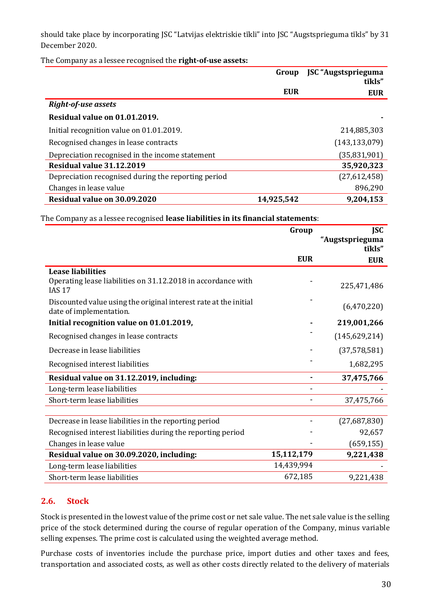should take place by incorporating JSC "Latvijas elektriskie tīkli" into JSC "Augstsprieguma tīkls" by 31 December 2020.

The Company as a lessee recognised the **right-of-use assets:**

|                                                     | Group      | JSC "Augstsprieguma<br>tīkls" |
|-----------------------------------------------------|------------|-------------------------------|
|                                                     | <b>EUR</b> | <b>EUR</b>                    |
| <b>Right-of-use assets</b>                          |            |                               |
| Residual value on 01.01.2019.                       |            |                               |
| Initial recognition value on 01.01.2019.            |            | 214,885,303                   |
| Recognised changes in lease contracts               |            | (143, 133, 079)               |
| Depreciation recognised in the income statement     |            | (35, 831, 901)                |
| Residual value 31.12.2019                           |            | 35,920,323                    |
| Depreciation recognised during the reporting period |            | (27,612,458)                  |
| Changes in lease value                              |            | 896,290                       |
| Residual value on 30.09.2020                        | 14,925,542 | 9,204,153                     |

The Company as a lessee recognised **lease liabilities in its financial statements**:

|                                                                                             | Group      | <b>JSC</b>                |
|---------------------------------------------------------------------------------------------|------------|---------------------------|
|                                                                                             |            | "Augstsprieguma<br>tīkls" |
|                                                                                             | <b>EUR</b> | <b>EUR</b>                |
| <b>Lease liabilities</b>                                                                    |            |                           |
| Operating lease liabilities on 31.12.2018 in accordance with<br><b>IAS 17</b>               |            | 225,471,486               |
| Discounted value using the original interest rate at the initial<br>date of implementation. |            | (6,470,220)               |
| Initial recognition value on 01.01.2019,                                                    |            | 219,001,266               |
| Recognised changes in lease contracts                                                       |            | (145, 629, 214)           |
| Decrease in lease liabilities                                                               |            | (37,578,581)              |
| Recognised interest liabilities                                                             |            | 1,682,295                 |
| Residual value on 31.12.2019, including:                                                    |            | 37,475,766                |
| Long-term lease liabilities                                                                 |            |                           |
| Short-term lease liabilities                                                                |            | 37,475,766                |
|                                                                                             |            |                           |
| Decrease in lease liabilities in the reporting period                                       |            | (27,687,830)              |
| Recognised interest liabilities during the reporting period                                 |            | 92,657                    |
| Changes in lease value                                                                      |            | (659, 155)                |
| Residual value on 30.09.2020, including:                                                    | 15,112,179 | 9,221,438                 |
| Long-term lease liabilities                                                                 | 14,439,994 |                           |
| Short-term lease liabilities                                                                | 672,185    | 9,221,438                 |

## **2.6. Stock**

Stock is presented in the lowest value of the prime cost or net sale value. The net sale value is the selling price of the stock determined during the course of regular operation of the Company, minus variable selling expenses. The prime cost is calculated using the weighted average method.

Purchase costs of inventories include the purchase price, import duties and other taxes and fees, transportation and associated costs, as well as other costs directly related to the delivery of materials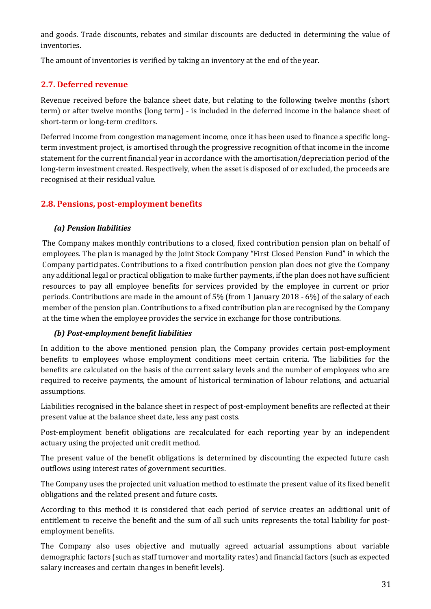and goods. Trade discounts, rebates and similar discounts are deducted in determining the value of inventories.

The amount of inventories is verified by taking an inventory at the end of the year.

## **2.7. Deferred revenue**

Revenue received before the balance sheet date, but relating to the following twelve months (short term) or after twelve months (long term) - is included in the deferred income in the balance sheet of short-term or long-term creditors.

Deferred income from congestion management income, once it has been used to finance a specific longterm investment project, is amortised through the progressive recognition of that income in the income statement for the current financial year in accordance with the amortisation/depreciation period of the long-term investment created. Respectively, when the asset is disposed of or excluded, the proceeds are recognised at their residual value.

## **2.8. Pensions, post-employment benefits**

## *(a) Pension liabilities*

The Company makes monthly contributions to a closed, fixed contribution pension plan on behalf of employees. The plan is managed by the Joint Stock Company "First Closed Pension Fund" in which the Company participates. Contributions to a fixed contribution pension plan does not give the Company any additional legal or practical obligation to make further payments, if the plan does not have sufficient resources to pay all employee benefits for services provided by the employee in current or prior periods. Contributions are made in the amount of 5% (from 1 January 2018 - 6%) of the salary of each member of the pension plan. Contributions to a fixed contribution plan are recognised by the Company at the time when the employee provides the service in exchange for those contributions.

## *(b) Post-employment benefit liabilities*

In addition to the above mentioned pension plan, the Company provides certain post-employment benefits to employees whose employment conditions meet certain criteria. The liabilities for the benefits are calculated on the basis of the current salary levels and the number of employees who are required to receive payments, the amount of historical termination of labour relations, and actuarial assumptions.

Liabilities recognised in the balance sheet in respect of post-employment benefits are reflected at their present value at the balance sheet date, less any past costs.

Post-employment benefit obligations are recalculated for each reporting year by an independent actuary using the projected unit credit method.

The present value of the benefit obligations is determined by discounting the expected future cash outflows using interest rates of government securities.

The Company uses the projected unit valuation method to estimate the present value of its fixed benefit obligations and the related present and future costs.

According to this method it is considered that each period of service creates an additional unit of entitlement to receive the benefit and the sum of all such units represents the total liability for postemployment benefits.

The Company also uses objective and mutually agreed actuarial assumptions about variable demographic factors (such as staff turnover and mortality rates) and financial factors (such as expected salary increases and certain changes in benefit levels).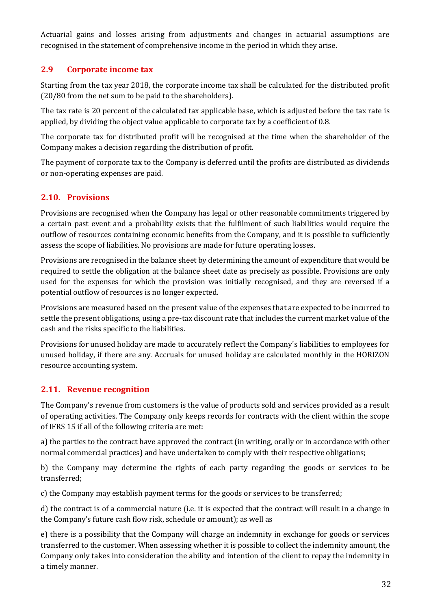Actuarial gains and losses arising from adjustments and changes in actuarial assumptions are recognised in the statement of comprehensive income in the period in which they arise.

## **2.9 Corporate income tax**

Starting from the tax year 2018, the corporate income tax shall be calculated for the distributed profit (20/80 from the net sum to be paid to the shareholders).

The tax rate is 20 percent of the calculated tax applicable base, which is adjusted before the tax rate is applied, by dividing the object value applicable to corporate tax by a coefficient of 0.8.

The corporate tax for distributed profit will be recognised at the time when the shareholder of the Company makes a decision regarding the distribution of profit.

The payment of corporate tax to the Company is deferred until the profits are distributed as dividends or non-operating expenses are paid.

## **2.10. Provisions**

Provisions are recognised when the Company has legal or other reasonable commitments triggered by a certain past event and a probability exists that the fulfilment of such liabilities would require the outflow of resources containing economic benefits from the Company, and it is possible to sufficiently assess the scope of liabilities. No provisions are made for future operating losses.

Provisions are recognised in the balance sheet by determining the amount of expenditure that would be required to settle the obligation at the balance sheet date as precisely as possible. Provisions are only used for the expenses for which the provision was initially recognised, and they are reversed if a potential outflow of resources is no longer expected.

Provisions are measured based on the present value of the expenses that are expected to be incurred to settle the present obligations, using a pre-tax discount rate that includes the current market value of the cash and the risks specific to the liabilities.

Provisions for unused holiday are made to accurately reflect the Company's liabilities to employees for unused holiday, if there are any. Accruals for unused holiday are calculated monthly in the HORIZON resource accounting system.

## **2.11. Revenue recognition**

The Company's revenue from customers is the value of products sold and services provided as a result of operating activities. The Company only keeps records for contracts with the client within the scope of IFRS 15 if all of the following criteria are met:

a) the parties to the contract have approved the contract (in writing, orally or in accordance with other normal commercial practices) and have undertaken to comply with their respective obligations;

b) the Company may determine the rights of each party regarding the goods or services to be transferred;

c) the Company may establish payment terms for the goods or services to be transferred;

d) the contract is of a commercial nature (i.e. it is expected that the contract will result in a change in the Company's future cash flow risk, schedule or amount); as well as

e) there is a possibility that the Company will charge an indemnity in exchange for goods or services transferred to the customer. When assessing whether it is possible to collect the indemnity amount, the Company only takes into consideration the ability and intention of the client to repay the indemnity in a timely manner.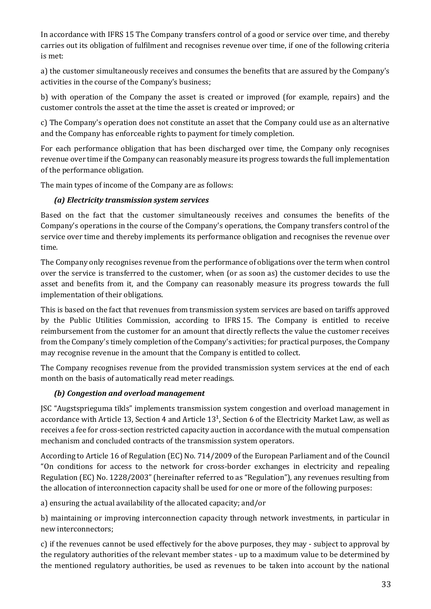In accordance with IFRS 15 The Company transfers control of a good or service over time, and thereby carries out its obligation of fulfilment and recognises revenue over time, if one of the following criteria is met:

a) the customer simultaneously receives and consumes the benefits that are assured by the Company's activities in the course of the Company's business;

b) with operation of the Company the asset is created or improved (for example, repairs) and the customer controls the asset at the time the asset is created or improved; or

c) The Company's operation does not constitute an asset that the Company could use as an alternative and the Company has enforceable rights to payment for timely completion.

For each performance obligation that has been discharged over time, the Company only recognises revenue over time if the Company can reasonably measure its progress towards the full implementation of the performance obligation.

The main types of income of the Company are as follows:

## *(a) Electricity transmission system services*

Based on the fact that the customer simultaneously receives and consumes the benefits of the Company's operations in the course of the Company's operations, the Company transfers control of the service over time and thereby implements its performance obligation and recognises the revenue over time.

The Company only recognises revenue from the performance of obligations over the term when control over the service is transferred to the customer, when (or as soon as) the customer decides to use the asset and benefits from it, and the Company can reasonably measure its progress towards the full implementation of their obligations.

This is based on the fact that revenues from transmission system services are based on tariffs approved by the Public Utilities Commission, according to IFRS 15. The Company is entitled to receive reimbursement from the customer for an amount that directly reflects the value the customer receives from the Company's timely completion of the Company's activities; for practical purposes, the Company may recognise revenue in the amount that the Company is entitled to collect.

The Company recognises revenue from the provided transmission system services at the end of each month on the basis of automatically read meter readings.

## *(b) Congestion and overload management*

JSC "Augstsprieguma tīkls" implements transmission system congestion and overload management in accordance with Article 13, Section 4 and Article  $13<sup>1</sup>$ , Section 6 of the Electricity Market Law, as well as receives a fee for cross-section restricted capacity auction in accordance with the mutual compensation mechanism and concluded contracts of the transmission system operators.

According to Article 16 of Regulation (EC) No. 714/2009 of the European Parliament and of the Council "On conditions for access to the network for cross-border exchanges in electricity and repealing Regulation (EC) No. 1228/2003" (hereinafter referred to as "Regulation"), any revenues resulting from the allocation of interconnection capacity shall be used for one or more of the following purposes:

a) ensuring the actual availability of the allocated capacity; and/or

b) maintaining or improving interconnection capacity through network investments, in particular in new interconnectors;

c) if the revenues cannot be used effectively for the above purposes, they may - subject to approval by the regulatory authorities of the relevant member states - up to a maximum value to be determined by the mentioned regulatory authorities, be used as revenues to be taken into account by the national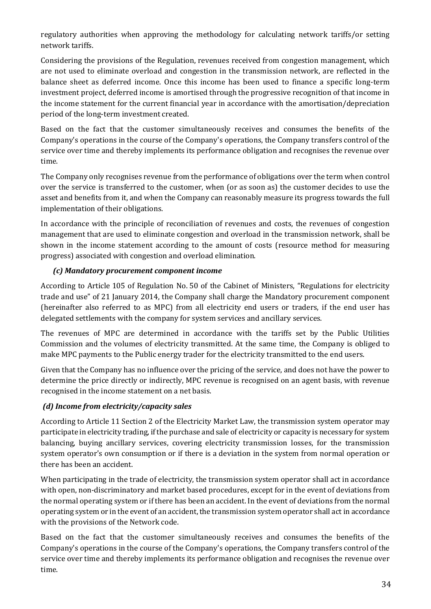regulatory authorities when approving the methodology for calculating network tariffs/or setting network tariffs.

Considering the provisions of the Regulation, revenues received from congestion management, which are not used to eliminate overload and congestion in the transmission network, are reflected in the balance sheet as deferred income. Once this income has been used to finance a specific long-term investment project, deferred income is amortised through the progressive recognition of that income in the income statement for the current financial year in accordance with the amortisation/depreciation period of the long-term investment created.

Based on the fact that the customer simultaneously receives and consumes the benefits of the Company's operations in the course of the Company's operations, the Company transfers control of the service over time and thereby implements its performance obligation and recognises the revenue over time.

The Company only recognises revenue from the performance of obligations over the term when control over the service is transferred to the customer, when (or as soon as) the customer decides to use the asset and benefits from it, and when the Company can reasonably measure its progress towards the full implementation of their obligations.

In accordance with the principle of reconciliation of revenues and costs, the revenues of congestion management that are used to eliminate congestion and overload in the transmission network, shall be shown in the income statement according to the amount of costs (resource method for measuring progress) associated with congestion and overload elimination.

## *(c) Mandatory procurement component income*

According to Article 105 of Regulation No. 50 of the Cabinet of Ministers, "Regulations for electricity trade and use" of 21 January 2014, the Company shall charge the Mandatory procurement component (hereinafter also referred to as MPC) from all electricity end users or traders, if the end user has delegated settlements with the company for system services and ancillary services.

The revenues of MPC are determined in accordance with the tariffs set by the Public Utilities Commission and the volumes of electricity transmitted. At the same time, the Company is obliged to make MPC payments to the Public energy trader for the electricity transmitted to the end users.

Given that the Company has no influence over the pricing of the service, and does not have the power to determine the price directly or indirectly, MPC revenue is recognised on an agent basis, with revenue recognised in the income statement on a net basis.

## *(d) Income from electricity/capacity sales*

According to Article 11 Section 2 of the Electricity Market Law, the transmission system operator may participate in electricity trading, if the purchase and sale of electricity or capacity is necessary for system balancing, buying ancillary services, covering electricity transmission losses, for the transmission system operator's own consumption or if there is a deviation in the system from normal operation or there has been an accident.

When participating in the trade of electricity, the transmission system operator shall act in accordance with open, non-discriminatory and market based procedures, except for in the event of deviations from the normal operating system or if there has been an accident. In the event of deviations from the normal operating system or in the event of an accident, the transmission system operator shall act in accordance with the provisions of the Network code.

Based on the fact that the customer simultaneously receives and consumes the benefits of the Company's operations in the course of the Company's operations, the Company transfers control of the service over time and thereby implements its performance obligation and recognises the revenue over time.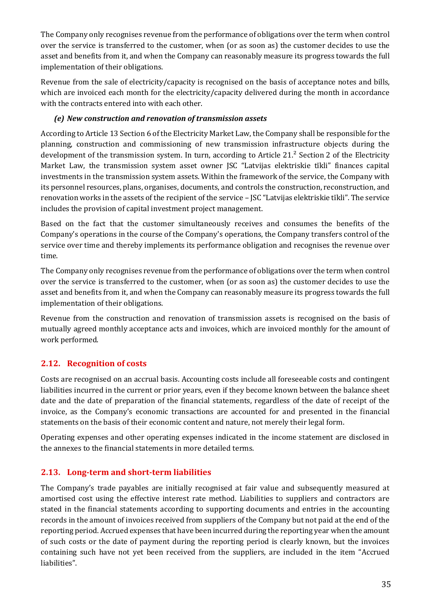The Company only recognises revenue from the performance of obligations over the term when control over the service is transferred to the customer, when (or as soon as) the customer decides to use the asset and benefits from it, and when the Company can reasonably measure its progress towards the full implementation of their obligations.

Revenue from the sale of electricity/capacity is recognised on the basis of acceptance notes and bills, which are invoiced each month for the electricity/capacity delivered during the month in accordance with the contracts entered into with each other.

## *(e) New construction and renovation of transmission assets*

According to Article 13 Section 6 of the Electricity Market Law, the Company shall be responsible for the planning, construction and commissioning of new transmission infrastructure objects during the development of the transmission system. In turn, according to Article 21.² Section 2 of the Electricity Market Law, the transmission system asset owner JSC "Latvijas elektriskie tīkli" finances capital investments in the transmission system assets. Within the framework of the service, the Company with its personnel resources, plans, organises, documents, and controls the construction, reconstruction, and renovation works in the assets of the recipient of the service – JSC "Latvijas elektriskie tīkli". The service includes the provision of capital investment project management.

Based on the fact that the customer simultaneously receives and consumes the benefits of the Company's operations in the course of the Company's operations, the Company transfers control of the service over time and thereby implements its performance obligation and recognises the revenue over time.

The Company only recognises revenue from the performance of obligations over the term when control over the service is transferred to the customer, when (or as soon as) the customer decides to use the asset and benefits from it, and when the Company can reasonably measure its progress towards the full implementation of their obligations.

Revenue from the construction and renovation of transmission assets is recognised on the basis of mutually agreed monthly acceptance acts and invoices, which are invoiced monthly for the amount of work performed.

## **2.12. Recognition of costs**

Costs are recognised on an accrual basis. Accounting costs include all foreseeable costs and contingent liabilities incurred in the current or prior years, even if they become known between the balance sheet date and the date of preparation of the financial statements, regardless of the date of receipt of the invoice, as the Company's economic transactions are accounted for and presented in the financial statements on the basis of their economic content and nature, not merely their legal form.

Operating expenses and other operating expenses indicated in the income statement are disclosed in the annexes to the financial statements in more detailed terms.

## **2.13. Long-term and short-term liabilities**

The Company's trade payables are initially recognised at fair value and subsequently measured at amortised cost using the effective interest rate method. Liabilities to suppliers and contractors are stated in the financial statements according to supporting documents and entries in the accounting records in the amount of invoices received from suppliers of the Company but not paid at the end of the reporting period. Accrued expenses that have been incurred during the reporting year when the amount of such costs or the date of payment during the reporting period is clearly known, but the invoices containing such have not yet been received from the suppliers, are included in the item "Accrued liabilities".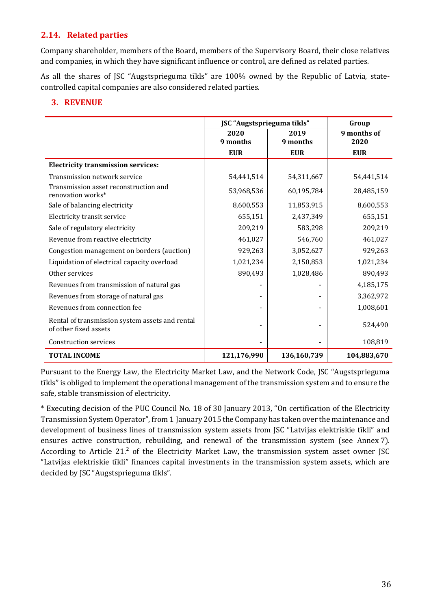## **2.14. Related parties**

Company shareholder, members of the Board, members of the Supervisory Board, their close relatives and companies, in which they have significant influence or control, are defined as related parties.

As all the shares of JSC "Augstsprieguma tīkls" are 100% owned by the Republic of Latvia, statecontrolled capital companies are also considered related parties.

## **3. REVENUE**

|                                                                          | JSC "Augstsprieguma tīkls" | Group       |             |
|--------------------------------------------------------------------------|----------------------------|-------------|-------------|
|                                                                          | 2020                       | 2019        | 9 months of |
|                                                                          | 9 months                   | 9 months    | 2020        |
|                                                                          | <b>EUR</b>                 | <b>EUR</b>  | <b>EUR</b>  |
| <b>Electricity transmission services:</b>                                |                            |             |             |
| Transmission network service                                             | 54,441,514                 | 54,311,667  | 54,441,514  |
| Transmission asset reconstruction and<br>renovation works*               | 53,968,536                 | 60,195,784  | 28,485,159  |
| Sale of balancing electricity                                            | 8,600,553                  | 11,853,915  | 8,600,553   |
| Electricity transit service                                              | 655,151                    | 2,437,349   | 655,151     |
| Sale of regulatory electricity                                           | 209,219                    | 583,298     | 209,219     |
| Revenue from reactive electricity                                        | 461,027                    | 546,760     | 461,027     |
| Congestion management on borders (auction)                               | 929,263                    | 3,052,627   | 929,263     |
| Liquidation of electrical capacity overload                              | 1,021,234                  | 2,150,853   | 1,021,234   |
| Other services                                                           | 890,493                    | 1,028,486   | 890,493     |
| Revenues from transmission of natural gas                                |                            |             | 4,185,175   |
| Revenues from storage of natural gas                                     |                            |             | 3,362,972   |
| Revenues from connection fee                                             |                            |             | 1,008,601   |
| Rental of transmission system assets and rental<br>of other fixed assets |                            |             | 524,490     |
| <b>Construction services</b>                                             |                            |             | 108,819     |
| <b>TOTAL INCOME</b>                                                      | 121,176,990                | 136,160,739 | 104,883,670 |

Pursuant to the Energy Law, the Electricity Market Law, and the Network Code, JSC "Augstsprieguma tīkls" is obliged to implement the operational management of the transmission system and to ensure the safe, stable transmission of electricity.

\* Executing decision of the PUC Council No. 18 of 30 January 2013, "On certification of the Electricity Transmission System Operator", from 1 January 2015 the Company has taken over the maintenance and development of business lines of transmission system assets from JSC "Latvijas elektriskie tīkli" and ensures active construction, rebuilding, and renewal of the transmission system (see Annex 7). According to Article 21.² of the Electricity Market Law, the transmission system asset owner JSC "Latvijas elektriskie tīkli" finances capital investments in the transmission system assets, which are decided by JSC "Augstsprieguma tīkls".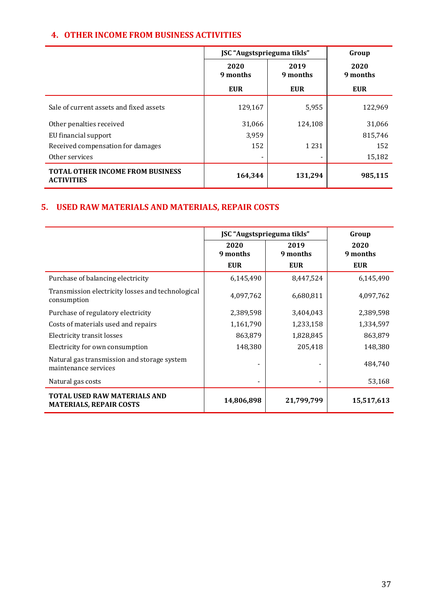## **4. OTHER INCOME FROM BUSINESS ACTIVITIES**

|                                                              | JSC "Augstsprieguma tīkls" | Group            |                  |
|--------------------------------------------------------------|----------------------------|------------------|------------------|
|                                                              | 2020<br>9 months           | 2019<br>9 months | 2020<br>9 months |
|                                                              | <b>EUR</b>                 | <b>EUR</b>       | <b>EUR</b>       |
| Sale of current assets and fixed assets                      | 129,167                    | 5,955            | 122,969          |
| Other penalties received                                     | 31,066                     | 124,108          | 31,066           |
| EU financial support                                         | 3,959                      |                  | 815.746          |
| Received compensation for damages                            | 152                        | 1 2 3 1          | 152              |
| Other services                                               |                            |                  | 15,182           |
| <b>TOTAL OTHER INCOME FROM BUSINESS</b><br><b>ACTIVITIES</b> | 164,344                    | 131,294          | 985,115          |

## **5. USED RAW MATERIALS AND MATERIALS, REPAIR COSTS**

|                                                                     | JSC "Augstsprieguma tīkls" |                  | Group            |
|---------------------------------------------------------------------|----------------------------|------------------|------------------|
|                                                                     | 2020<br>9 months           | 2019<br>9 months | 2020<br>9 months |
|                                                                     | <b>EUR</b>                 | <b>EUR</b>       | <b>EUR</b>       |
| Purchase of balancing electricity                                   | 6,145,490                  | 8,447,524        | 6,145,490        |
| Transmission electricity losses and technological<br>consumption    | 4,097,762                  | 6,680,811        | 4,097,762        |
| Purchase of regulatory electricity                                  | 2,389,598                  | 3,404,043        | 2,389,598        |
| Costs of materials used and repairs                                 | 1,161,790                  | 1,233,158        | 1,334,597        |
| Electricity transit losses                                          | 863,879                    | 1,828,845        | 863,879          |
| Electricity for own consumption                                     | 148,380                    | 205,418          | 148,380          |
| Natural gas transmission and storage system<br>maintenance services |                            |                  | 484,740          |
| Natural gas costs                                                   |                            |                  | 53,168           |
| TOTAL USED RAW MATERIALS AND<br><b>MATERIALS, REPAIR COSTS</b>      | 14,806,898                 | 21,799,799       | 15,517,613       |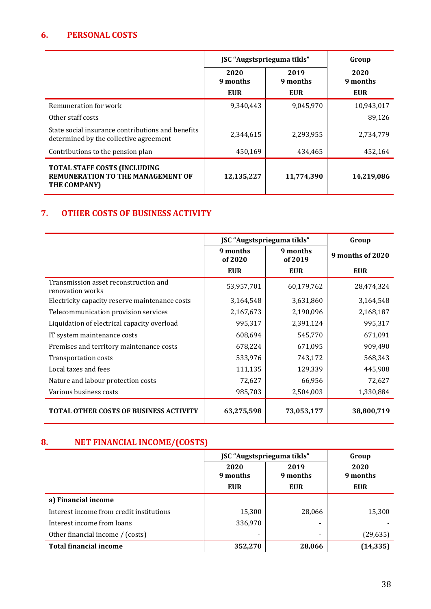## **6. PERSONAL COSTS**

|                                                                                                 | JSC "Augstsprieguma tīkls" |                  | Group            |
|-------------------------------------------------------------------------------------------------|----------------------------|------------------|------------------|
|                                                                                                 | 2020<br>9 months           | 2019<br>9 months | 2020<br>9 months |
|                                                                                                 | <b>EUR</b>                 | <b>EUR</b>       | <b>EUR</b>       |
| Remuneration for work                                                                           | 9,340,443                  | 9,045,970        | 10,943,017       |
| Other staff costs                                                                               |                            |                  | 89,126           |
| State social insurance contributions and benefits<br>determined by the collective agreement     | 2,344,615                  | 2,293,955        | 2,734,779        |
| Contributions to the pension plan                                                               | 450,169                    | 434,465          | 452,164          |
| <b>TOTAL STAFF COSTS (INCLUDING</b><br><b>REMUNERATION TO THE MANAGEMENT OF</b><br>THE COMPANY) | 12,135,227                 | 11,774,390       | 14,219,086       |

## **7. OTHER COSTS OF BUSINESS ACTIVITY**

|                                                           | JSC "Augstsprieguma tīkls" |                     | Group            |
|-----------------------------------------------------------|----------------------------|---------------------|------------------|
|                                                           | 9 months<br>of 2020        | 9 months<br>of 2019 | 9 months of 2020 |
|                                                           | <b>EUR</b>                 | <b>EUR</b>          | <b>EUR</b>       |
| Transmission asset reconstruction and<br>renovation works | 53,957,701                 | 60,179,762          | 28,474,324       |
| Electricity capacity reserve maintenance costs            | 3,164,548                  | 3,631,860           | 3,164,548        |
| Telecommunication provision services                      | 2,167,673                  | 2,190,096           | 2,168,187        |
| Liquidation of electrical capacity overload               | 995,317                    | 2,391,124           | 995,317          |
| IT system maintenance costs                               | 608,694                    | 545,770             | 671,091          |
| Premises and territory maintenance costs                  | 678,224                    | 671,095             | 909,490          |
| Transportation costs                                      | 533,976                    | 743,172             | 568,343          |
| Local taxes and fees                                      | 111,135                    | 129,339             | 445,908          |
| Nature and labour protection costs                        | 72,627                     | 66,956              | 72,627           |
| Various business costs                                    | 985,703                    | 2,504,003           | 1,330,884        |
| <b>TOTAL OTHER COSTS OF BUSINESS ACTIVITY</b>             | 63,275,598                 | 73,053,177          | 38,800,719       |

## **8. NET FINANCIAL INCOME/(COSTS)**

|                                          | JSC "Augstsprieguma tīkls"     |                                | Group                          |
|------------------------------------------|--------------------------------|--------------------------------|--------------------------------|
|                                          | 2020<br>9 months<br><b>EUR</b> | 2019<br>9 months<br><b>EUR</b> | 2020<br>9 months<br><b>EUR</b> |
| a) Financial income                      |                                |                                |                                |
| Interest income from credit institutions | 15,300                         | 28,066                         | 15,300                         |
| Interest income from loans               | 336,970                        |                                |                                |
| Other financial income / (costs)         |                                |                                | (29, 635)                      |
| <b>Total financial income</b>            | 352,270                        | 28,066                         | (14, 335)                      |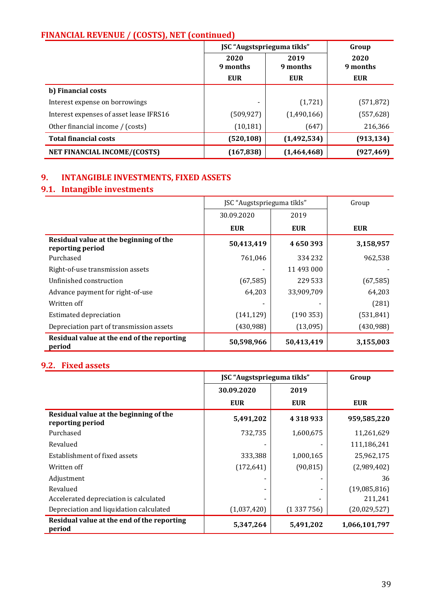## **FINANCIAL REVENUE / (COSTS), NET (continued)**

|                                         | JSC "Augstsprieguma tīkls" |                  | Group            |
|-----------------------------------------|----------------------------|------------------|------------------|
|                                         | 2020<br>9 months           | 2019<br>9 months | 2020<br>9 months |
|                                         | <b>EUR</b>                 | <b>EUR</b>       | <b>EUR</b>       |
| b) Financial costs                      |                            |                  |                  |
| Interest expense on borrowings          |                            | (1,721)          | (571, 872)       |
| Interest expenses of asset lease IFRS16 | (509, 927)                 | (1,490,166)      | (557, 628)       |
| Other financial income / (costs)        | (10, 181)                  | (647)            | 216,366          |
| <b>Total financial costs</b>            | (520, 108)                 | (1, 492, 534)    | (913, 134)       |
| NET FINANCIAL INCOME/(COSTS)            | (167, 838)                 | (1,464,468)      | (927, 469)       |

## **9. INTANGIBLE INVESTMENTS, FIXED ASSETS**

## **9.1. Intangible investments**

|                                                            | JSC "Augstsprieguma tīkls" |            | Group      |
|------------------------------------------------------------|----------------------------|------------|------------|
|                                                            | 30.09.2020                 | 2019       |            |
|                                                            | <b>EUR</b>                 | <b>EUR</b> | <b>EUR</b> |
| Residual value at the beginning of the<br>reporting period | 50,413,419                 | 4650393    | 3,158,957  |
| Purchased                                                  | 761,046                    | 334 232    | 962,538    |
| Right-of-use transmission assets                           |                            | 11 493 000 |            |
| Unfinished construction                                    | (67, 585)                  | 229 533    | (67, 585)  |
| Advance payment for right-of-use                           | 64,203                     | 33,909,709 | 64,203     |
| Written off                                                |                            |            | (281)      |
| <b>Estimated depreciation</b>                              | (141, 129)                 | (190353)   | (531, 841) |
| Depreciation part of transmission assets                   | (430,988)                  | (13,095)   | (430, 988) |
| Residual value at the end of the reporting<br>period       | 50,598,966                 | 50,413,419 | 3,155,003  |

## **9.2. Fixed assets**

|                                                            | JSC "Augstsprieguma tīkls" |            | Group         |
|------------------------------------------------------------|----------------------------|------------|---------------|
|                                                            | 30.09.2020                 | 2019       |               |
|                                                            | <b>EUR</b>                 | <b>EUR</b> | <b>EUR</b>    |
| Residual value at the beginning of the<br>reporting period | 5,491,202                  | 4318933    | 959,585,220   |
| Purchased                                                  | 732,735                    | 1,600,675  | 11,261,629    |
| Revalued                                                   |                            |            | 111,186,241   |
| Establishment of fixed assets                              | 333,388                    | 1,000,165  | 25,962,175    |
| Written off                                                | (172, 641)                 | (90, 815)  | (2,989,402)   |
| Adjustment                                                 |                            |            | 36            |
| Revalued                                                   |                            |            | (19,085,816)  |
| Accelerated depreciation is calculated                     |                            |            | 211,241       |
| Depreciation and liquidation calculated                    | (1,037,420)                | (1337756)  | (20,029,527)  |
| Residual value at the end of the reporting<br>period       | 5,347,264                  | 5,491,202  | 1,066,101,797 |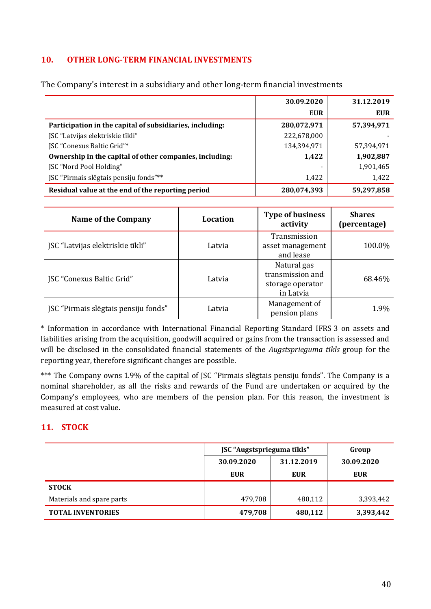## **10. OTHER LONG-TERM FINANCIAL INVESTMENTS**

|                                                          | 30.09.2020  | 31.12.2019 |
|----------------------------------------------------------|-------------|------------|
|                                                          | <b>EUR</b>  | EUR        |
| Participation in the capital of subsidiaries, including: | 280,072,971 | 57,394,971 |
| JSC "Latvijas elektriskie tīkli"                         | 222,678,000 |            |
| <b>ISC</b> "Conexus Baltic Grid"*                        | 134,394,971 | 57,394,971 |
| Ownership in the capital of other companies, including:  | 1,422       | 1,902,887  |
| <b>JSC</b> "Nord Pool Holding"                           |             | 1,901,465  |
| JSC "Pirmais slēgtais pensiju fonds"**                   | 1,422       | 1,422      |
| Residual value at the end of the reporting period        | 280,074,393 | 59,297,858 |

The Company's interest in a subsidiary and other long-term financial investments

| <b>Name of the Company</b>           | Location | <b>Type of business</b><br>activity                              | <b>Shares</b><br>(percentage) |
|--------------------------------------|----------|------------------------------------------------------------------|-------------------------------|
| JSC "Latvijas elektriskie tīkli"     | Latvia   | Transmission<br>asset management<br>and lease                    | 100.0%                        |
| <b>JSC "Conexus Baltic Grid"</b>     | Latvia   | Natural gas<br>transmission and<br>storage operator<br>in Latvia | 68.46%                        |
| JSC "Pirmais slēgtais pensiju fonds" | Latvia   | Management of<br>pension plans                                   | 1.9%                          |

\* Information in accordance with International Financial Reporting Standard IFRS 3 on assets and liabilities arising from the acquisition, goodwill acquired or gains from the transaction is assessed and will be disclosed in the consolidated financial statements of the *Augstsprieguma tīkls* group for the reporting year, therefore significant changes are possible.

\*\*\* The Company owns 1.9% of the capital of JSC "Pirmais slēgtais pensiju fonds". The Company is a nominal shareholder, as all the risks and rewards of the Fund are undertaken or acquired by the Company's employees, who are members of the pension plan. For this reason, the investment is measured at cost value.

## **11. STOCK**

|                           | JSC "Augstsprieguma tīkls" |            | Group      |
|---------------------------|----------------------------|------------|------------|
|                           | 30.09.2020                 | 31.12.2019 | 30.09.2020 |
|                           | <b>EUR</b>                 | <b>EUR</b> | <b>EUR</b> |
| <b>STOCK</b>              |                            |            |            |
| Materials and spare parts | 479,708                    | 480,112    | 3,393,442  |
| <b>TOTAL INVENTORIES</b>  | 479,708                    | 480,112    | 3,393,442  |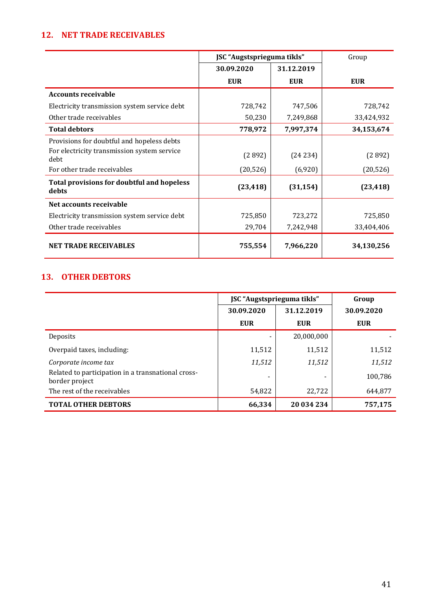## **12. NET TRADE RECEIVABLES**

|                                                     | JSC "Augstsprieguma tīkls" |            | Group      |
|-----------------------------------------------------|----------------------------|------------|------------|
|                                                     | 30.09.2020                 | 31.12.2019 |            |
|                                                     | <b>EUR</b>                 | <b>EUR</b> | <b>EUR</b> |
| <b>Accounts receivable</b>                          |                            |            |            |
| Electricity transmission system service debt        | 728,742                    | 747,506    | 728,742    |
| Other trade receivables                             | 50,230                     | 7,249,868  | 33,424,932 |
| <b>Total debtors</b>                                | 778,972                    | 7,997,374  | 34,153,674 |
| Provisions for doubtful and hopeless debts          |                            |            |            |
| For electricity transmission system service<br>debt | (2892)                     | (24234)    | (2892)     |
| For other trade receivables                         | (20, 526)                  | (6,920)    | (20, 526)  |
| Total provisions for doubtful and hopeless<br>debts | (23, 418)                  | (31, 154)  | (23, 418)  |
| Net accounts receivable                             |                            |            |            |
| Electricity transmission system service debt        | 725,850                    | 723,272    | 725,850    |
| Other trade receivables                             | 29,704                     | 7,242,948  | 33,404,406 |
| <b>NET TRADE RECEIVABLES</b>                        | 755,554                    | 7,966,220  | 34,130,256 |

## **13. OTHER DEBTORS**

|                                                                      | JSC "Augstsprieguma tīkls" |            | Group      |
|----------------------------------------------------------------------|----------------------------|------------|------------|
|                                                                      | 30.09.2020                 | 31.12.2019 | 30.09.2020 |
|                                                                      | <b>EUR</b>                 | <b>EUR</b> | <b>EUR</b> |
| Deposits                                                             |                            | 20,000,000 |            |
| Overpaid taxes, including:                                           | 11,512                     | 11,512     | 11,512     |
| Corporate income tax                                                 | 11,512                     | 11,512     | 11,512     |
| Related to participation in a transnational cross-<br>border project |                            |            | 100,786    |
| The rest of the receivables                                          | 54,822                     | 22,722     | 644,877    |
| <b>TOTAL OTHER DEBTORS</b>                                           | 66,334                     | 20 034 234 | 757,175    |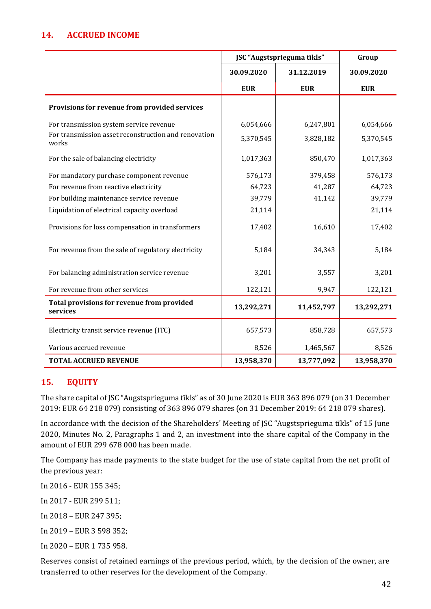## **14. ACCRUED INCOME**

|                                                               | JSC "Augstsprieguma tīkls" |            | Group      |
|---------------------------------------------------------------|----------------------------|------------|------------|
|                                                               | 30.09.2020                 | 31.12.2019 | 30.09.2020 |
|                                                               | <b>EUR</b>                 | <b>EUR</b> | <b>EUR</b> |
| Provisions for revenue from provided services                 |                            |            |            |
| For transmission system service revenue                       | 6,054,666                  | 6,247,801  | 6,054,666  |
| For transmission asset reconstruction and renovation<br>works | 5,370,545                  | 3,828,182  | 5,370,545  |
| For the sale of balancing electricity                         | 1,017,363                  | 850,470    | 1,017,363  |
| For mandatory purchase component revenue                      | 576,173                    | 379,458    | 576,173    |
| For revenue from reactive electricity                         | 64,723                     | 41,287     | 64,723     |
| For building maintenance service revenue                      | 39,779                     | 41,142     | 39,779     |
| Liquidation of electrical capacity overload                   | 21,114                     |            | 21,114     |
| Provisions for loss compensation in transformers              | 17,402                     | 16,610     | 17,402     |
| For revenue from the sale of regulatory electricity           | 5,184                      | 34,343     | 5,184      |
| For balancing administration service revenue                  | 3,201                      | 3,557      | 3,201      |
| For revenue from other services                               | 122,121                    | 9,947      | 122,121    |
| Total provisions for revenue from provided<br>services        | 13,292,271                 | 11,452,797 | 13,292,271 |
| Electricity transit service revenue (ITC)                     | 657,573                    | 858,728    | 657,573    |
| Various accrued revenue                                       | 8,526                      | 1,465,567  | 8,526      |
| <b>TOTAL ACCRUED REVENUE</b>                                  | 13,958,370                 | 13,777,092 | 13,958,370 |

## **15. EQUITY**

The share capital of JSC "Augstsprieguma tīkls" as of 30 June 2020 is EUR 363 896 079 (on 31 December 2019: EUR 64 218 079) consisting of 363 896 079 shares (on 31 December 2019: 64 218 079 shares).

In accordance with the decision of the Shareholders' Meeting of JSC "Augstsprieguma tīkls" of 15 June 2020, Minutes No. 2, Paragraphs 1 and 2, an investment into the share capital of the Company in the amount of EUR 299 678 000 has been made.

The Company has made payments to the state budget for the use of state capital from the net profit of the previous year:

In 2016 - EUR 155 345;

In 2017 - EUR 299 511;

In 2018 – EUR 247 395;

In 2019 – EUR 3 598 352;

In 2020 – EUR 1 735 958.

Reserves consist of retained earnings of the previous period, which, by the decision of the owner, are transferred to other reserves for the development of the Company.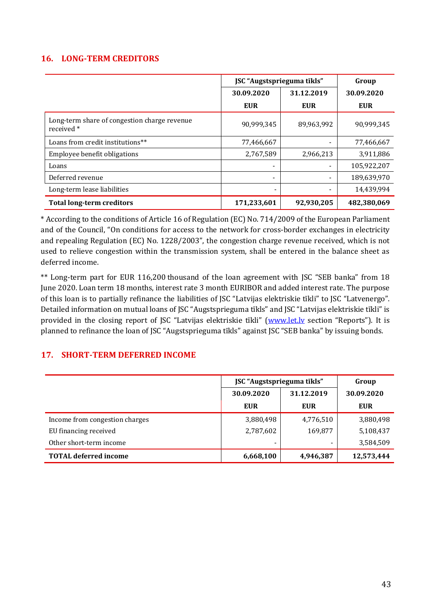## **16. LONG-TERM CREDITORS**

|                                                            | JSC "Augstsprieguma tīkls" |                          | Group       |
|------------------------------------------------------------|----------------------------|--------------------------|-------------|
|                                                            | 30.09.2020                 | 31.12.2019               | 30.09.2020  |
|                                                            | <b>EUR</b>                 | <b>EUR</b>               | <b>EUR</b>  |
| Long-term share of congestion charge revenue<br>received * | 90,999,345                 | 89,963,992               | 90,999,345  |
| Loans from credit institutions**                           | 77,466,667                 |                          | 77,466,667  |
| Employee benefit obligations                               | 2,767,589                  | 2,966,213                | 3,911,886   |
| Loans                                                      |                            |                          | 105,922,207 |
| Deferred revenue                                           | $\overline{\phantom{a}}$   | $\overline{\phantom{0}}$ | 189,639,970 |
| Long-term lease liabilities                                | -                          | $\overline{\phantom{0}}$ | 14,439,994  |
| <b>Total long-term creditors</b>                           | 171,233,601                | 92,930,205               | 482,380,069 |

\* According to the conditions of Article 16 of Regulation (EC) No. 714/2009 of the European Parliament and of the Council, "On conditions for access to the network for cross-border exchanges in electricity and repealing Regulation (EC) No. 1228/2003", the congestion charge revenue received, which is not used to relieve congestion within the transmission system, shall be entered in the balance sheet as deferred income.

\*\* Long-term part for EUR 116,200 thousand of the loan agreement with JSC "SEB banka" from 18 June 2020. Loan term 18 months, interest rate 3 month EURIBOR and added interest rate. The purpose of this loan is to partially refinance the liabilities of JSC "Latvijas elektriskie tīkli" to JSC "Latvenergo". Detailed information on mutual loans of JSC "Augstsprieguma tīkls" and JSC "Latvijas elektriskie tīkli" is provided in the closing report of JSC "Latvijas elektriskie tīkli" (www.let.ly section "Reports"). It is planned to refinance the loan of JSC "Augstsprieguma tīkls" against JSC "SEB banka" by issuing bonds.

## **17. SHORT-TERM DEFERRED INCOME**

|                                | JSC "Augstsprieguma tīkls" | Group      |            |
|--------------------------------|----------------------------|------------|------------|
|                                | 30.09.2020                 | 31.12.2019 | 30.09.2020 |
|                                | EUR                        | EUR        | <b>EUR</b> |
| Income from congestion charges | 3,880,498                  | 4,776,510  | 3,880,498  |
| EU financing received          | 2,787,602                  | 169,877    | 5,108,437  |
| Other short-term income        |                            |            | 3,584,509  |
| <b>TOTAL deferred income</b>   | 6,668,100                  | 4,946,387  | 12,573,444 |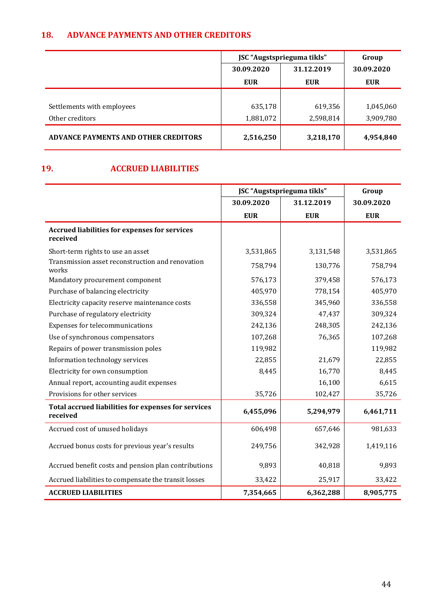## **18. ADVANCE PAYMENTS AND OTHER CREDITORS**

|                                             | JSC "Augstsprieguma tīkls" | Group      |            |
|---------------------------------------------|----------------------------|------------|------------|
|                                             | 30.09.2020                 | 31.12.2019 | 30.09.2020 |
|                                             | <b>EUR</b>                 | <b>EUR</b> | <b>EUR</b> |
|                                             |                            |            |            |
| Settlements with employees                  | 635,178                    | 619,356    | 1,045,060  |
| Other creditors                             | 1,881,072                  | 2,598,814  | 3,909,780  |
| <b>ADVANCE PAYMENTS AND OTHER CREDITORS</b> | 2,516,250                  | 3,218,170  | 4,954,840  |

## **19. ACCRUED LIABILITIES**

|                                                                  | JSC "Augstsprieguma tīkls" |            | Group      |
|------------------------------------------------------------------|----------------------------|------------|------------|
|                                                                  | 30.09.2020                 | 31.12.2019 |            |
|                                                                  | <b>EUR</b>                 | <b>EUR</b> | <b>EUR</b> |
| <b>Accrued liabilities for expenses for services</b><br>received |                            |            |            |
| Short-term rights to use an asset                                | 3,531,865                  | 3,131,548  | 3,531,865  |
| Transmission asset reconstruction and renovation<br>works        | 758,794                    | 130,776    | 758,794    |
| Mandatory procurement component                                  | 576,173                    | 379,458    | 576,173    |
| Purchase of balancing electricity                                | 405,970                    | 778,154    | 405,970    |
| Electricity capacity reserve maintenance costs                   | 336,558                    | 345,960    | 336,558    |
| Purchase of regulatory electricity                               | 309,324                    | 47,437     | 309,324    |
| Expenses for telecommunications                                  | 242,136                    | 248,305    | 242,136    |
| Use of synchronous compensators                                  | 107,268                    | 76,365     | 107,268    |
| Repairs of power transmission poles                              | 119,982                    |            | 119,982    |
| Information technology services                                  | 22,855                     | 21,679     | 22,855     |
| Electricity for own consumption                                  | 8,445                      | 16,770     | 8,445      |
| Annual report, accounting audit expenses                         |                            | 16,100     | 6,615      |
| Provisions for other services                                    | 35,726                     | 102,427    | 35,726     |
| Total accrued liabilities for expenses for services<br>received  | 6,455,096                  | 5,294,979  | 6,461,711  |
| Accrued cost of unused holidays                                  | 606,498                    | 657,646    | 981,633    |
| Accrued bonus costs for previous year's results                  | 249,756                    | 342,928    | 1,419,116  |
| Accrued benefit costs and pension plan contributions             | 9,893                      | 40,818     | 9,893      |
| Accrued liabilities to compensate the transit losses             | 33,422                     | 25,917     | 33,422     |
| <b>ACCRUED LIABILITIES</b>                                       | 7,354,665                  | 6,362,288  | 8,905,775  |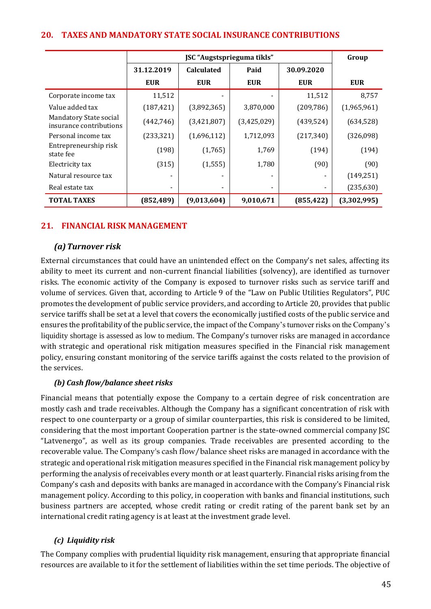| <b>20. TAXES AND MANDATORY STATE SOCIAL INSURANCE CONTRIBUTIONS</b> |  |
|---------------------------------------------------------------------|--|
|---------------------------------------------------------------------|--|

|                                                   | JSC "Augstsprieguma tīkls" |                          |                          |            | Group       |
|---------------------------------------------------|----------------------------|--------------------------|--------------------------|------------|-------------|
|                                                   | 31.12.2019                 | <b>Calculated</b>        | Paid                     | 30.09.2020 |             |
|                                                   | <b>EUR</b>                 | <b>EUR</b>               | <b>EUR</b>               | <b>EUR</b> | <b>EUR</b>  |
| Corporate income tax                              | 11,512                     |                          |                          | 11,512     | 8,757       |
| Value added tax                                   | (187, 421)                 | (3,892,365)              | 3,870,000                | (209, 786) | (1,965,961) |
| Mandatory State social<br>insurance contributions | (442, 746)                 | (3,421,807)              | (3,425,029)              | (439, 524) | (634, 528)  |
| Personal income tax                               | (233, 321)                 | (1,696,112)              | 1,712,093                | (217, 340) | (326,098)   |
| Entrepreneurship risk<br>state fee                | (198)                      | (1,765)                  | 1,769                    | (194)      | (194)       |
| Electricity tax                                   | (315)                      | (1, 555)                 | 1,780                    | (90)       | (90)        |
| Natural resource tax                              | ٠                          |                          | $\overline{\phantom{0}}$ | -          | (149, 251)  |
| Real estate tax                                   | -                          | $\overline{\phantom{a}}$ | ٠                        | -          | (235, 630)  |
| <b>TOTAL TAXES</b>                                | (852, 489)                 | (9,013,604)              | 9,010,671                | (855, 422) | (3,302,995) |

## **21. FINANCIAL RISK MANAGEMENT**

#### *(a)Turnover risk*

External circumstances that could have an unintended effect on the Company's net sales, affecting its ability to meet its current and non-current financial liabilities (solvency), are identified as turnover risks. The economic activity of the Company is exposed to turnover risks such as service tariff and volume of services. Given that, according to Article 9 of the "Law on Public Utilities Regulators", PUC promotes the development of public service providers, and according to Article 20, provides that public service tariffs shall be set at a level that covers the economically justified costs of the public service and ensures the profitability of the public service, the impact of the Company's turnover risks on the Company's liquidity shortage is assessed as low to medium. The Company's turnover risks are managed in accordance with strategic and operational risk mitigation measures specified in the Financial risk management policy, ensuring constant monitoring of the service tariffs against the costs related to the provision of the services.

#### *(b) Cash flow/balance sheet risks*

Financial means that potentially expose the Company to a certain degree of risk concentration are mostly cash and trade receivables. Although the Company has a significant concentration of risk with respect to one counterparty or a group of similar counterparties, this risk is considered to be limited, considering that the most important Cooperation partner is the state-owned commercial company JSC "Latvenergo", as well as its group companies. Trade receivables are presented according to the recoverable value. The Company's cash flow/balance sheet risks are managed in accordance with the strategic and operational risk mitigation measures specified in the Financial risk management policy by performing the analysis of receivables every month or at least quarterly. Financial risks arising from the Company's cash and deposits with banks are managed in accordance with the Company's Financial risk management policy. According to this policy, in cooperation with banks and financial institutions, such business partners are accepted, whose credit rating or credit rating of the parent bank set by an international credit rating agency is at least at the investment grade level.

## *(c) Liquidity risk*

The Company complies with prudential liquidity risk management, ensuring that appropriate financial resources are available to it for the settlement of liabilities within the set time periods. The objective of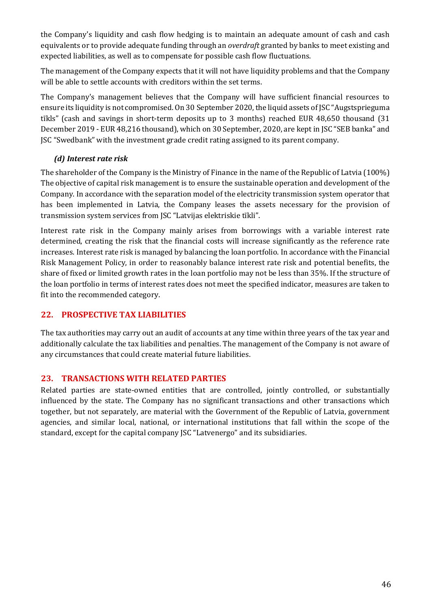the Company's liquidity and cash flow hedging is to maintain an adequate amount of cash and cash equivalents or to provide adequate funding through an *overdraft* granted by banks to meet existing and expected liabilities, as well as to compensate for possible cash flow fluctuations.

The management of the Company expects that it will not have liquidity problems and that the Company will be able to settle accounts with creditors within the set terms.

The Company's management believes that the Company will have sufficient financial resources to ensure its liquidity is not compromised. On 30 September 2020, the liquid assets of JSC "Augstsprieguma tīkls" (cash and savings in short-term deposits up to 3 months) reached EUR 48,650 thousand (31 December 2019 - EUR 48,216 thousand), which on 30 September, 2020, are kept in JSC "SEB banka" and JSC "Swedbank" with the investment grade credit rating assigned to its parent company.

## *(d) Interest rate risk*

The shareholder of the Company is the Ministry of Finance in the name of the Republic of Latvia (100%) The objective of capital risk management is to ensure the sustainable operation and development of the Company. In accordance with the separation model of the electricity transmission system operator that has been implemented in Latvia, the Company leases the assets necessary for the provision of transmission system services from JSC "Latvijas elektriskie tīkli".

Interest rate risk in the Company mainly arises from borrowings with a variable interest rate determined, creating the risk that the financial costs will increase significantly as the reference rate increases. Interest rate risk is managed by balancing the loan portfolio. In accordance with the Financial Risk Management Policy, in order to reasonably balance interest rate risk and potential benefits, the share of fixed or limited growth rates in the loan portfolio may not be less than 35%. If the structure of the loan portfolio in terms of interest rates does not meet the specified indicator, measures are taken to fit into the recommended category.

## **22. PROSPECTIVE TAX LIABILITIES**

The tax authorities may carry out an audit of accounts at any time within three years of the tax year and additionally calculate the tax liabilities and penalties. The management of the Company is not aware of any circumstances that could create material future liabilities.

## **23. TRANSACTIONS WITH RELATED PARTIES**

Related parties are state-owned entities that are controlled, jointly controlled, or substantially influenced by the state. The Company has no significant transactions and other transactions which together, but not separately, are material with the Government of the Republic of Latvia, government agencies, and similar local, national, or international institutions that fall within the scope of the standard, except for the capital company JSC "Latvenergo" and its subsidiaries.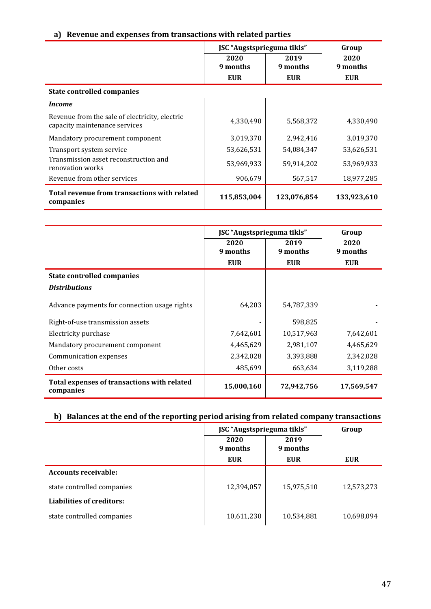## **a) Revenue and expenses from transactions with related parties**

|                                                                                 | JSC "Augstsprieguma tīkls" |                  | Group            |
|---------------------------------------------------------------------------------|----------------------------|------------------|------------------|
|                                                                                 | 2020<br>9 months           | 2019<br>9 months | 2020<br>9 months |
|                                                                                 | <b>EUR</b>                 | <b>EUR</b>       | <b>EUR</b>       |
| <b>State controlled companies</b>                                               |                            |                  |                  |
| <i>Income</i>                                                                   |                            |                  |                  |
| Revenue from the sale of electricity, electric<br>capacity maintenance services | 4,330,490                  | 5,568,372        | 4,330,490        |
| Mandatory procurement component                                                 | 3,019,370                  | 2,942,416        | 3,019,370        |
| Transport system service                                                        | 53,626,531                 | 54,084,347       | 53,626,531       |
| Transmission asset reconstruction and<br>renovation works                       | 53,969,933                 | 59,914,202       | 53,969,933       |
| Revenue from other services                                                     | 906,679                    | 567,517          | 18,977,285       |
| Total revenue from transactions with related<br>companies                       | 115,853,004                | 123,076,854      | 133,923,610      |

|                                                          | JSC "Augstsprieguma tīkls" | Group            |                  |
|----------------------------------------------------------|----------------------------|------------------|------------------|
|                                                          | 2020<br>9 months           | 2019<br>9 months | 2020<br>9 months |
|                                                          | <b>EUR</b>                 | <b>EUR</b>       | <b>EUR</b>       |
| <b>State controlled companies</b>                        |                            |                  |                  |
| <b>Distributions</b>                                     |                            |                  |                  |
| Advance payments for connection usage rights             | 64,203                     | 54,787,339       |                  |
| Right-of-use transmission assets                         |                            | 598,825          |                  |
| Electricity purchase                                     | 7,642,601                  | 10,517,963       | 7,642,601        |
| Mandatory procurement component                          | 4,465,629                  | 2,981,107        | 4,465,629        |
| Communication expenses                                   | 2,342,028                  | 3,393,888        | 2,342,028        |
| Other costs                                              | 485,699                    | 663,634          | 3,119,288        |
| Total expenses of transactions with related<br>companies | 15,000,160                 | 72,942,756       | 17,569,547       |

# **b) Balances at the end of the reporting period arising from related company transactions**

|                                  | JSC "Augstsprieguma tīkls" | Group            |            |
|----------------------------------|----------------------------|------------------|------------|
|                                  | 2020<br>9 months           | 2019<br>9 months |            |
|                                  | <b>EUR</b>                 | <b>EUR</b>       | <b>EUR</b> |
| <b>Accounts receivable:</b>      |                            |                  |            |
| state controlled companies       | 12,394,057                 | 15,975,510       | 12,573,273 |
| <b>Liabilities of creditors:</b> |                            |                  |            |
| state controlled companies       | 10,611,230                 | 10,534,881       | 10,698,094 |